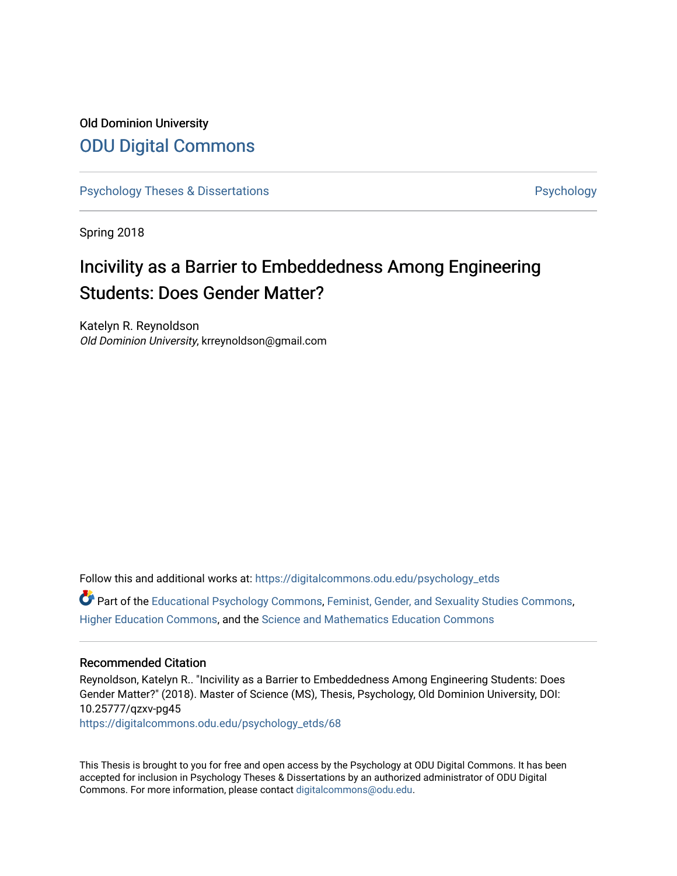# Old Dominion University [ODU Digital Commons](https://digitalcommons.odu.edu/)

[Psychology Theses & Dissertations](https://digitalcommons.odu.edu/psychology_etds) **Psychology** [Psychology](https://digitalcommons.odu.edu/psychology) **Psychology** 

Spring 2018

# Incivility as a Barrier to Embeddedness Among Engineering Students: Does Gender Matter?

Katelyn R. Reynoldson Old Dominion University, krreynoldson@gmail.com

Follow this and additional works at: [https://digitalcommons.odu.edu/psychology\\_etds](https://digitalcommons.odu.edu/psychology_etds?utm_source=digitalcommons.odu.edu%2Fpsychology_etds%2F68&utm_medium=PDF&utm_campaign=PDFCoverPages)

Part of the [Educational Psychology Commons,](http://network.bepress.com/hgg/discipline/798?utm_source=digitalcommons.odu.edu%2Fpsychology_etds%2F68&utm_medium=PDF&utm_campaign=PDFCoverPages) [Feminist, Gender, and Sexuality Studies Commons,](http://network.bepress.com/hgg/discipline/559?utm_source=digitalcommons.odu.edu%2Fpsychology_etds%2F68&utm_medium=PDF&utm_campaign=PDFCoverPages) [Higher Education Commons,](http://network.bepress.com/hgg/discipline/1245?utm_source=digitalcommons.odu.edu%2Fpsychology_etds%2F68&utm_medium=PDF&utm_campaign=PDFCoverPages) and the [Science and Mathematics Education Commons](http://network.bepress.com/hgg/discipline/800?utm_source=digitalcommons.odu.edu%2Fpsychology_etds%2F68&utm_medium=PDF&utm_campaign=PDFCoverPages)

#### Recommended Citation

Reynoldson, Katelyn R.. "Incivility as a Barrier to Embeddedness Among Engineering Students: Does Gender Matter?" (2018). Master of Science (MS), Thesis, Psychology, Old Dominion University, DOI: 10.25777/qzxv-pg45 [https://digitalcommons.odu.edu/psychology\\_etds/68](https://digitalcommons.odu.edu/psychology_etds/68?utm_source=digitalcommons.odu.edu%2Fpsychology_etds%2F68&utm_medium=PDF&utm_campaign=PDFCoverPages) 

This Thesis is brought to you for free and open access by the Psychology at ODU Digital Commons. It has been accepted for inclusion in Psychology Theses & Dissertations by an authorized administrator of ODU Digital Commons. For more information, please contact [digitalcommons@odu.edu](mailto:digitalcommons@odu.edu).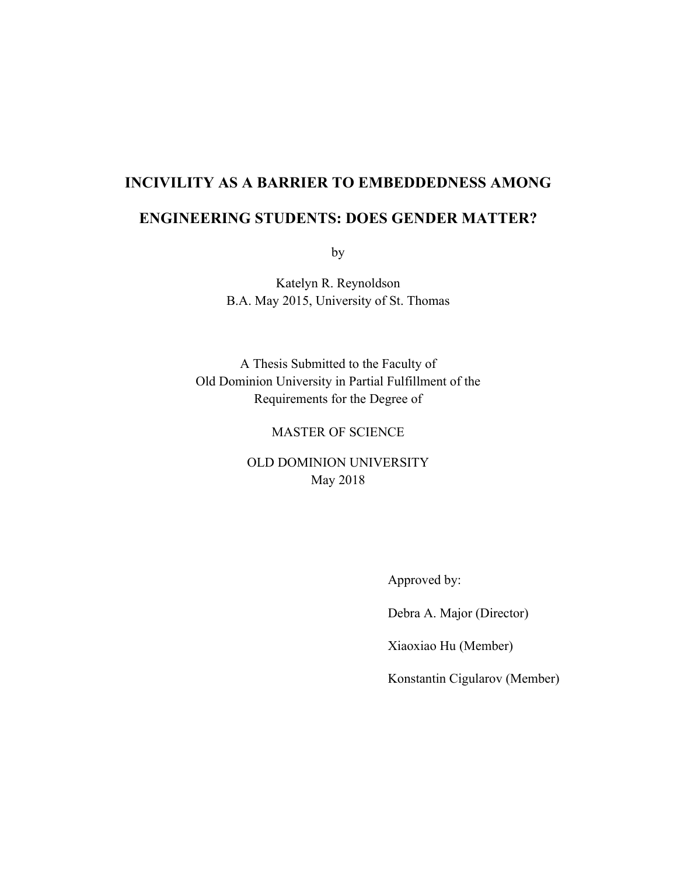# **INCIVILITY AS A BARRIER TO EMBEDDEDNESS AMONG**

# **ENGINEERING STUDENTS: DOES GENDER MATTER?**

by

Katelyn R. Reynoldson B.A. May 2015, University of St. Thomas

A Thesis Submitted to the Faculty of Old Dominion University in Partial Fulfillment of the Requirements for the Degree of

### MASTER OF SCIENCE

OLD DOMINION UNIVERSITY May 2018

Approved by:

Debra A. Major (Director)

Xiaoxiao Hu (Member)

Konstantin Cigularov (Member)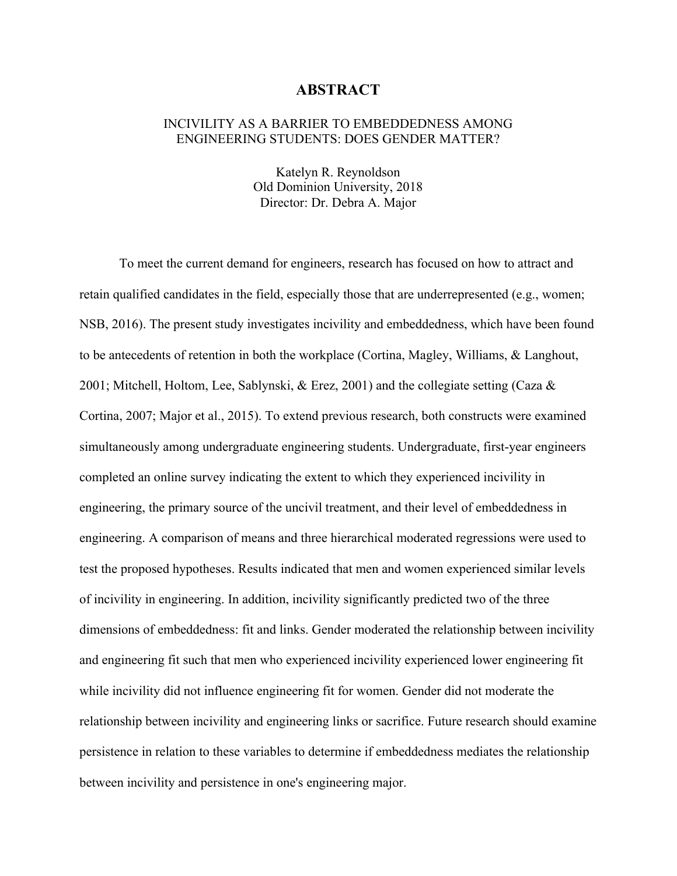#### **ABSTRACT**

#### INCIVILITY AS A BARRIER TO EMBEDDEDNESS AMONG ENGINEERING STUDENTS: DOES GENDER MATTER?

Katelyn R. Reynoldson Old Dominion University, 2018 Director: Dr. Debra A. Major

To meet the current demand for engineers, research has focused on how to attract and retain qualified candidates in the field, especially those that are underrepresented (e.g., women; NSB, 2016). The present study investigates incivility and embeddedness, which have been found to be antecedents of retention in both the workplace (Cortina, Magley, Williams, & Langhout, 2001; Mitchell, Holtom, Lee, Sablynski, & Erez, 2001) and the collegiate setting (Caza  $\&$ Cortina, 2007; Major et al., 2015). To extend previous research, both constructs were examined simultaneously among undergraduate engineering students. Undergraduate, first-year engineers completed an online survey indicating the extent to which they experienced incivility in engineering, the primary source of the uncivil treatment, and their level of embeddedness in engineering. A comparison of means and three hierarchical moderated regressions were used to test the proposed hypotheses. Results indicated that men and women experienced similar levels of incivility in engineering. In addition, incivility significantly predicted two of the three dimensions of embeddedness: fit and links. Gender moderated the relationship between incivility and engineering fit such that men who experienced incivility experienced lower engineering fit while incivility did not influence engineering fit for women. Gender did not moderate the relationship between incivility and engineering links or sacrifice. Future research should examine persistence in relation to these variables to determine if embeddedness mediates the relationship between incivility and persistence in one's engineering major.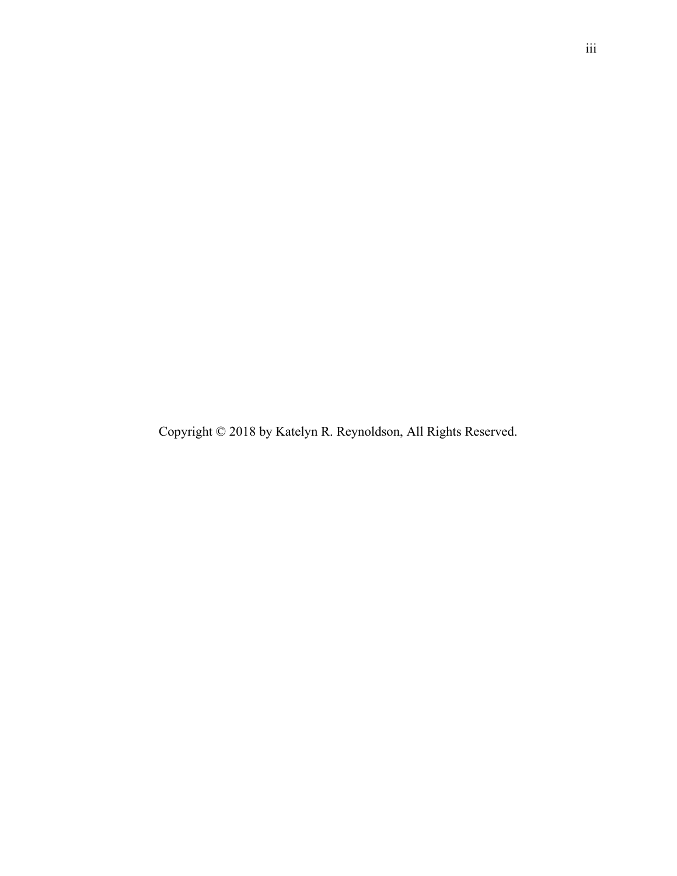Copyright © 2018 by Katelyn R. Reynoldson, All Rights Reserved.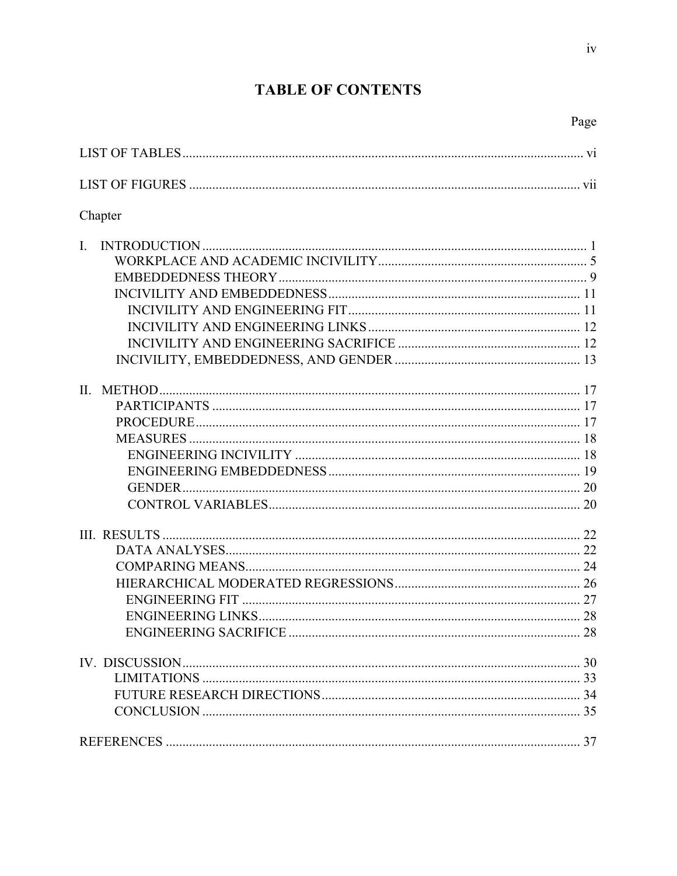# **TABLE OF CONTENTS**

Page

 $iv$ 

| Chapter      |  |
|--------------|--|
| $\mathbf{L}$ |  |
|              |  |
|              |  |
|              |  |
|              |  |
|              |  |
|              |  |
|              |  |
|              |  |
| II.          |  |
|              |  |
|              |  |
|              |  |
|              |  |
|              |  |
|              |  |
|              |  |
|              |  |
|              |  |
|              |  |
|              |  |
|              |  |
|              |  |
|              |  |
|              |  |
|              |  |
|              |  |
|              |  |
|              |  |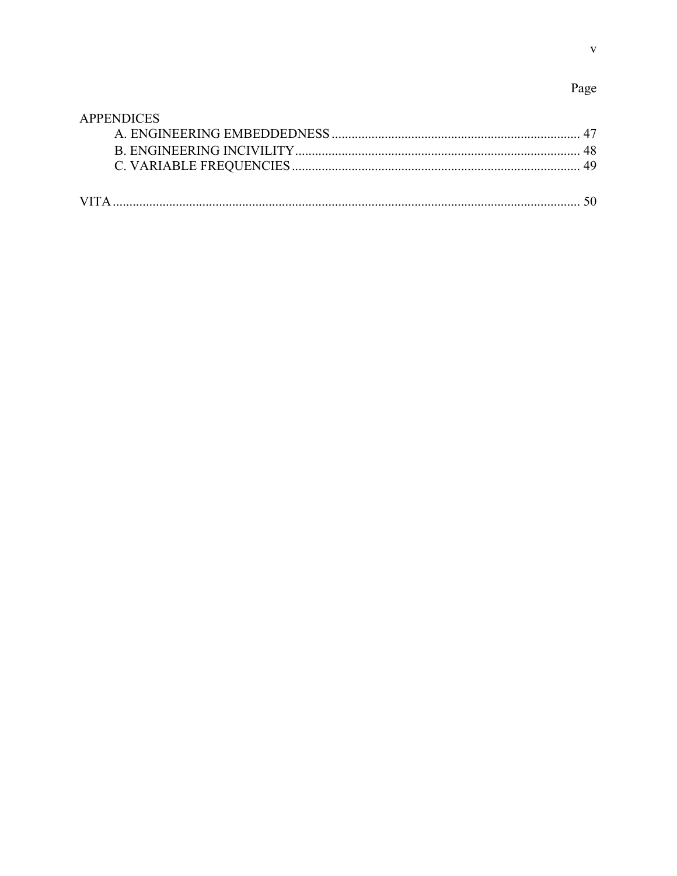# Page

| <b>APPENDICES</b> |  |
|-------------------|--|
|                   |  |
|                   |  |
|                   |  |
|                   |  |
|                   |  |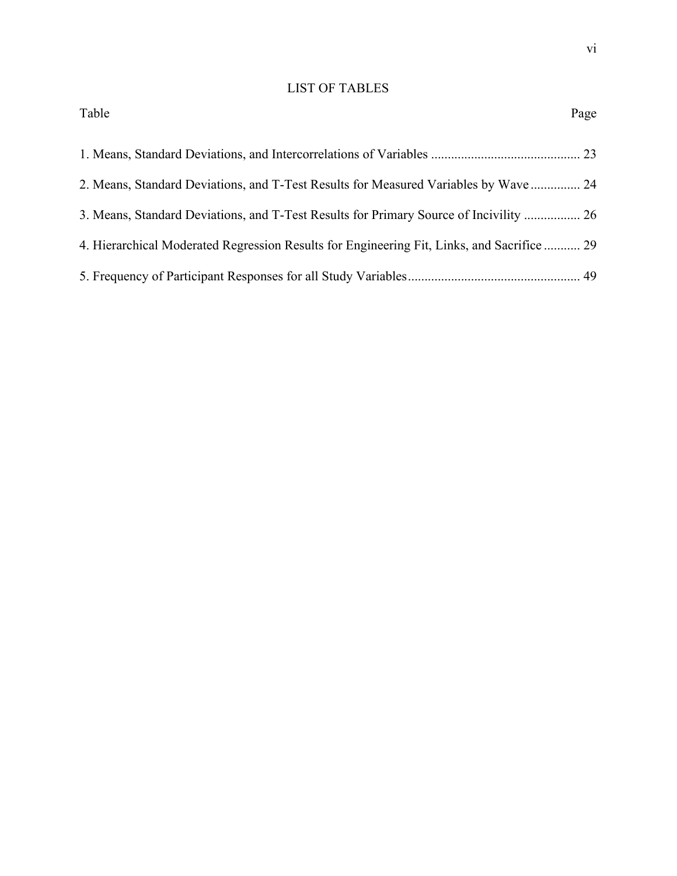# LIST OF TABLES

| Table                                                                                      | Page |
|--------------------------------------------------------------------------------------------|------|
|                                                                                            |      |
| 2. Means, Standard Deviations, and T-Test Results for Measured Variables by Wave  24       |      |
| 3. Means, Standard Deviations, and T-Test Results for Primary Source of Incivility  26     |      |
| 4. Hierarchical Moderated Regression Results for Engineering Fit, Links, and Sacrifice  29 |      |
|                                                                                            |      |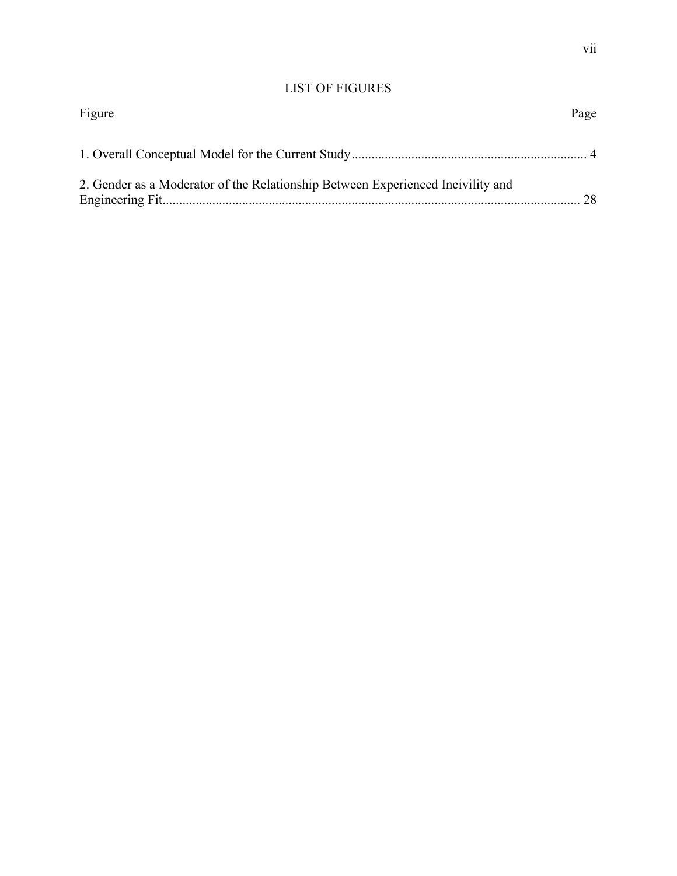# LIST OF FIGURES

| Figure                                                                          | Page |
|---------------------------------------------------------------------------------|------|
|                                                                                 |      |
| 2. Gender as a Moderator of the Relationship Between Experienced Incivility and | 28   |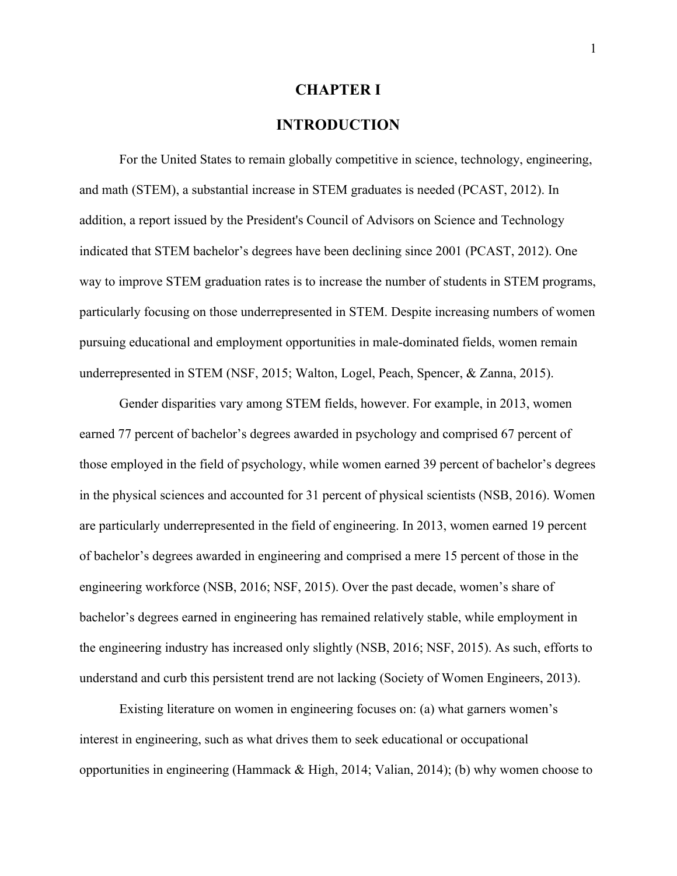# **CHAPTER I**

### **INTRODUCTION**

For the United States to remain globally competitive in science, technology, engineering, and math (STEM), a substantial increase in STEM graduates is needed (PCAST, 2012). In addition, a report issued by the President's Council of Advisors on Science and Technology indicated that STEM bachelor's degrees have been declining since 2001 (PCAST, 2012). One way to improve STEM graduation rates is to increase the number of students in STEM programs, particularly focusing on those underrepresented in STEM. Despite increasing numbers of women pursuing educational and employment opportunities in male-dominated fields, women remain underrepresented in STEM (NSF, 2015; Walton, Logel, Peach, Spencer, & Zanna, 2015).

Gender disparities vary among STEM fields, however. For example, in 2013, women earned 77 percent of bachelor's degrees awarded in psychology and comprised 67 percent of those employed in the field of psychology, while women earned 39 percent of bachelor's degrees in the physical sciences and accounted for 31 percent of physical scientists (NSB, 2016). Women are particularly underrepresented in the field of engineering. In 2013, women earned 19 percent of bachelor's degrees awarded in engineering and comprised a mere 15 percent of those in the engineering workforce (NSB, 2016; NSF, 2015). Over the past decade, women's share of bachelor's degrees earned in engineering has remained relatively stable, while employment in the engineering industry has increased only slightly (NSB, 2016; NSF, 2015). As such, efforts to understand and curb this persistent trend are not lacking (Society of Women Engineers, 2013).

Existing literature on women in engineering focuses on: (a) what garners women's interest in engineering, such as what drives them to seek educational or occupational opportunities in engineering (Hammack & High, 2014; Valian, 2014); (b) why women choose to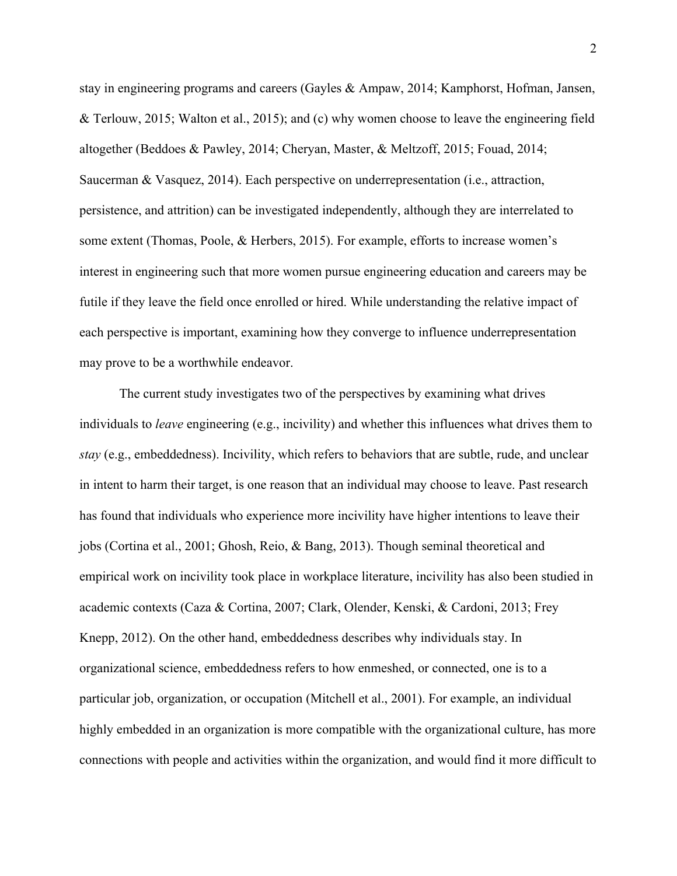stay in engineering programs and careers (Gayles & Ampaw, 2014; Kamphorst, Hofman, Jansen, & Terlouw, 2015; Walton et al., 2015); and (c) why women choose to leave the engineering field altogether (Beddoes & Pawley, 2014; Cheryan, Master, & Meltzoff, 2015; Fouad, 2014; Saucerman & Vasquez, 2014). Each perspective on underrepresentation (i.e., attraction, persistence, and attrition) can be investigated independently, although they are interrelated to some extent (Thomas, Poole, & Herbers, 2015). For example, efforts to increase women's interest in engineering such that more women pursue engineering education and careers may be futile if they leave the field once enrolled or hired. While understanding the relative impact of each perspective is important, examining how they converge to influence underrepresentation may prove to be a worthwhile endeavor.

The current study investigates two of the perspectives by examining what drives individuals to *leave* engineering (e.g., incivility) and whether this influences what drives them to *stay* (e.g., embeddedness). Incivility, which refers to behaviors that are subtle, rude, and unclear in intent to harm their target, is one reason that an individual may choose to leave. Past research has found that individuals who experience more incivility have higher intentions to leave their jobs (Cortina et al., 2001; Ghosh, Reio, & Bang, 2013). Though seminal theoretical and empirical work on incivility took place in workplace literature, incivility has also been studied in academic contexts (Caza & Cortina, 2007; Clark, Olender, Kenski, & Cardoni, 2013; Frey Knepp, 2012). On the other hand, embeddedness describes why individuals stay. In organizational science, embeddedness refers to how enmeshed, or connected, one is to a particular job, organization, or occupation (Mitchell et al., 2001). For example, an individual highly embedded in an organization is more compatible with the organizational culture, has more connections with people and activities within the organization, and would find it more difficult to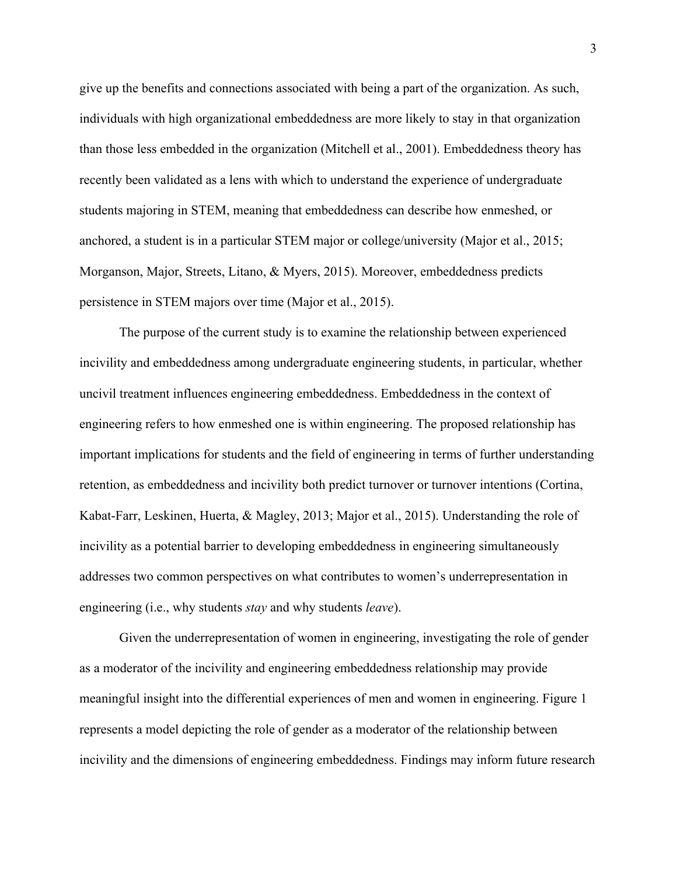give up the benefits and connections associated with being a part of the organization. As such, individuals with high organizational embeddedness are more likely to stay in that organization than those less embedded in the organization (Mitchell et al., 2001). Embeddedness theory has recently been validated as a lens with which to understand the experience of undergraduate students majoring in STEM, meaning that embeddedness can describe how enmeshed, or anchored, a student is in a particular STEM major or college/university (Major et al., 2015; Morganson, Major, Streets, Litano, & Myers, 2015). Moreover, embeddedness predicts persistence in STEM majors over time (Major et al., 2015).

The purpose of the current study is to examine the relationship between experienced incivility and embeddedness among undergraduate engineering students, in particular, whether uncivil treatment influences engineering embeddedness. Embeddedness in the context of engineering refers to how enmeshed one is within engineering. The proposed relationship has important implications for students and the field of engineering in terms of further understanding retention, as embeddedness and incivility both predict turnover or turnover intentions (Cortina, Kabat-Farr, Leskinen, Huerta, & Magley, 2013; Major et al., 2015). Understanding the role of incivility as a potential barrier to developing embeddedness in engineering simultaneously addresses two common perspectives on what contributes to women's underrepresentation in engineering (i.e., why students *stay* and why students *leave*).

Given the underrepresentation of women in engineering, investigating the role of gender as a moderator of the incivility and engineering embeddedness relationship may provide meaningful insight into the differential experiences of men and women in engineering. Figure 1 represents a model depicting the role of gender as a moderator of the relationship between incivility and the dimensions of engineering embeddedness. Findings may inform future research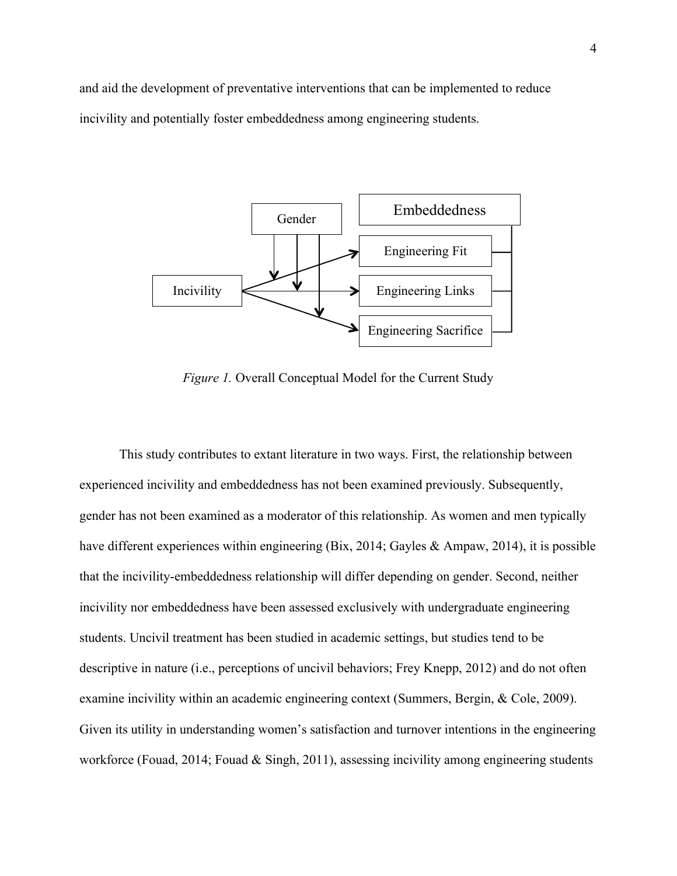and aid the development of preventative interventions that can be implemented to reduce incivility and potentially foster embeddedness among engineering students.



*Figure 1.* Overall Conceptual Model for the Current Study

This study contributes to extant literature in two ways. First, the relationship between experienced incivility and embeddedness has not been examined previously. Subsequently, gender has not been examined as a moderator of this relationship. As women and men typically have different experiences within engineering (Bix, 2014; Gayles & Ampaw, 2014), it is possible that the incivility-embeddedness relationship will differ depending on gender. Second, neither incivility nor embeddedness have been assessed exclusively with undergraduate engineering students. Uncivil treatment has been studied in academic settings, but studies tend to be descriptive in nature (i.e., perceptions of uncivil behaviors; Frey Knepp, 2012) and do not often examine incivility within an academic engineering context (Summers, Bergin, & Cole, 2009). Given its utility in understanding women's satisfaction and turnover intentions in the engineering workforce (Fouad, 2014; Fouad & Singh, 2011), assessing incivility among engineering students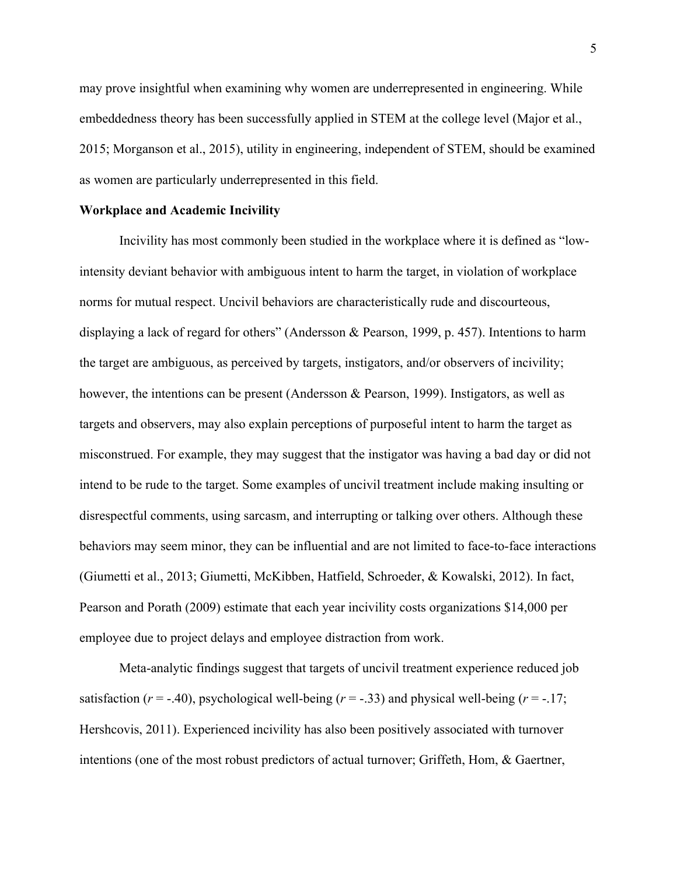may prove insightful when examining why women are underrepresented in engineering. While embeddedness theory has been successfully applied in STEM at the college level (Major et al., 2015; Morganson et al., 2015), utility in engineering, independent of STEM, should be examined as women are particularly underrepresented in this field.

#### **Workplace and Academic Incivility**

Incivility has most commonly been studied in the workplace where it is defined as "lowintensity deviant behavior with ambiguous intent to harm the target, in violation of workplace norms for mutual respect. Uncivil behaviors are characteristically rude and discourteous, displaying a lack of regard for others" (Andersson & Pearson, 1999, p. 457). Intentions to harm the target are ambiguous, as perceived by targets, instigators, and/or observers of incivility; however, the intentions can be present (Andersson & Pearson, 1999). Instigators, as well as targets and observers, may also explain perceptions of purposeful intent to harm the target as misconstrued. For example, they may suggest that the instigator was having a bad day or did not intend to be rude to the target. Some examples of uncivil treatment include making insulting or disrespectful comments, using sarcasm, and interrupting or talking over others. Although these behaviors may seem minor, they can be influential and are not limited to face-to-face interactions (Giumetti et al., 2013; Giumetti, McKibben, Hatfield, Schroeder, & Kowalski, 2012). In fact, Pearson and Porath (2009) estimate that each year incivility costs organizations \$14,000 per employee due to project delays and employee distraction from work.

Meta-analytic findings suggest that targets of uncivil treatment experience reduced job satisfaction ( $r = -140$ ), psychological well-being ( $r = -133$ ) and physical well-being ( $r = -17$ ; Hershcovis, 2011). Experienced incivility has also been positively associated with turnover intentions (one of the most robust predictors of actual turnover; Griffeth, Hom, & Gaertner,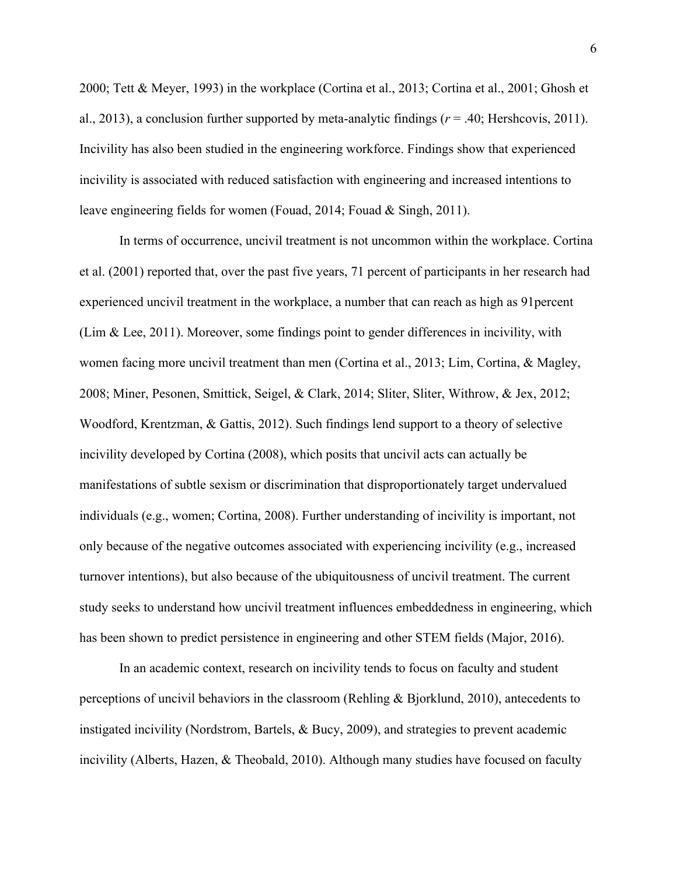2000; Tett & Meyer, 1993) in the workplace (Cortina et al., 2013; Cortina et al., 2001; Ghosh et al., 2013), a conclusion further supported by meta-analytic findings ( $r = .40$ ; Hershcovis, 2011). Incivility has also been studied in the engineering workforce. Findings show that experienced incivility is associated with reduced satisfaction with engineering and increased intentions to leave engineering fields for women (Fouad, 2014; Fouad & Singh, 2011).

In terms of occurrence, uncivil treatment is not uncommon within the workplace. Cortina et al. (2001) reported that, over the past five years, 71 percent of participants in her research had experienced uncivil treatment in the workplace, a number that can reach as high as 91percent (Lim & Lee, 2011). Moreover, some findings point to gender differences in incivility, with women facing more uncivil treatment than men (Cortina et al., 2013; Lim, Cortina, & Magley, 2008; Miner, Pesonen, Smittick, Seigel, & Clark, 2014; Sliter, Sliter, Withrow, & Jex, 2012; Woodford, Krentzman, & Gattis, 2012). Such findings lend support to a theory of selective incivility developed by Cortina (2008), which posits that uncivil acts can actually be manifestations of subtle sexism or discrimination that disproportionately target undervalued individuals (e.g., women; Cortina, 2008). Further understanding of incivility is important, not only because of the negative outcomes associated with experiencing incivility (e.g., increased turnover intentions), but also because of the ubiquitousness of uncivil treatment. The current study seeks to understand how uncivil treatment influences embeddedness in engineering, which has been shown to predict persistence in engineering and other STEM fields (Major, 2016).

In an academic context, research on incivility tends to focus on faculty and student perceptions of uncivil behaviors in the classroom (Rehling & Bjorklund, 2010), antecedents to instigated incivility (Nordstrom, Bartels, & Bucy, 2009), and strategies to prevent academic incivility (Alberts, Hazen, & Theobald, 2010). Although many studies have focused on faculty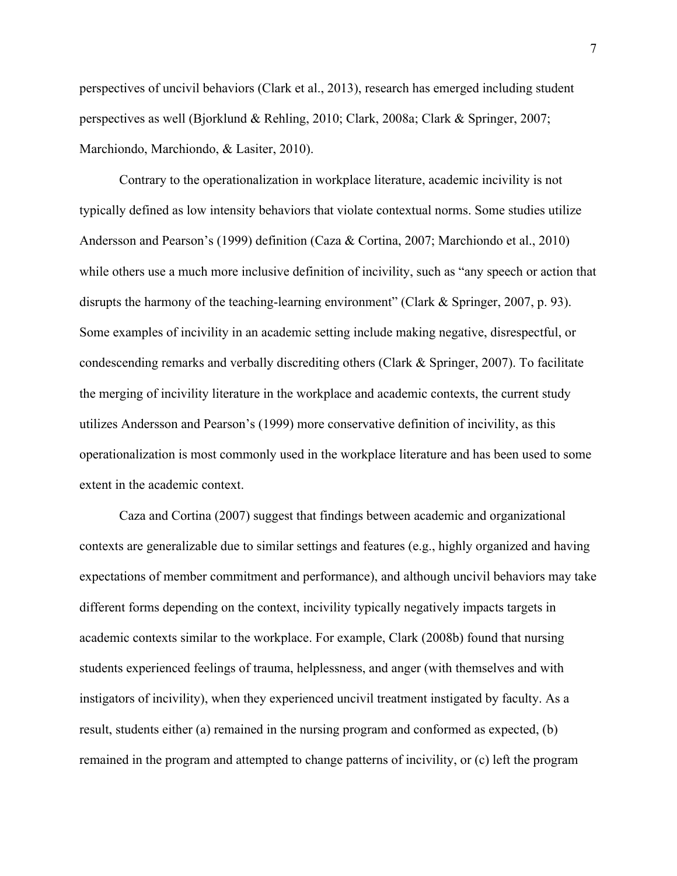perspectives of uncivil behaviors (Clark et al., 2013), research has emerged including student perspectives as well (Bjorklund & Rehling, 2010; Clark, 2008a; Clark & Springer, 2007; Marchiondo, Marchiondo, & Lasiter, 2010).

Contrary to the operationalization in workplace literature, academic incivility is not typically defined as low intensity behaviors that violate contextual norms. Some studies utilize Andersson and Pearson's (1999) definition (Caza & Cortina, 2007; Marchiondo et al., 2010) while others use a much more inclusive definition of incivility, such as "any speech or action that disrupts the harmony of the teaching-learning environment" (Clark & Springer, 2007, p. 93). Some examples of incivility in an academic setting include making negative, disrespectful, or condescending remarks and verbally discrediting others (Clark & Springer, 2007). To facilitate the merging of incivility literature in the workplace and academic contexts, the current study utilizes Andersson and Pearson's (1999) more conservative definition of incivility, as this operationalization is most commonly used in the workplace literature and has been used to some extent in the academic context.

Caza and Cortina (2007) suggest that findings between academic and organizational contexts are generalizable due to similar settings and features (e.g., highly organized and having expectations of member commitment and performance), and although uncivil behaviors may take different forms depending on the context, incivility typically negatively impacts targets in academic contexts similar to the workplace. For example, Clark (2008b) found that nursing students experienced feelings of trauma, helplessness, and anger (with themselves and with instigators of incivility), when they experienced uncivil treatment instigated by faculty. As a result, students either (a) remained in the nursing program and conformed as expected, (b) remained in the program and attempted to change patterns of incivility, or (c) left the program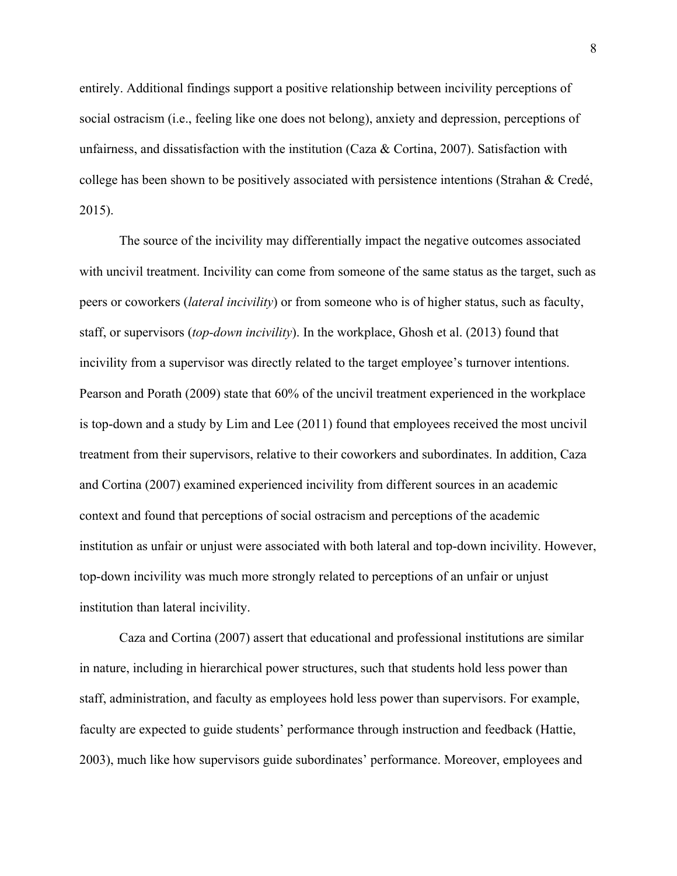entirely. Additional findings support a positive relationship between incivility perceptions of social ostracism (i.e., feeling like one does not belong), anxiety and depression, perceptions of unfairness, and dissatisfaction with the institution (Caza & Cortina, 2007). Satisfaction with college has been shown to be positively associated with persistence intentions (Strahan & Credé, 2015).

The source of the incivility may differentially impact the negative outcomes associated with uncivil treatment. Incivility can come from someone of the same status as the target, such as peers or coworkers (*lateral incivility*) or from someone who is of higher status, such as faculty, staff, or supervisors (*top-down incivility*). In the workplace, Ghosh et al. (2013) found that incivility from a supervisor was directly related to the target employee's turnover intentions. Pearson and Porath (2009) state that 60% of the uncivil treatment experienced in the workplace is top-down and a study by Lim and Lee (2011) found that employees received the most uncivil treatment from their supervisors, relative to their coworkers and subordinates. In addition, Caza and Cortina (2007) examined experienced incivility from different sources in an academic context and found that perceptions of social ostracism and perceptions of the academic institution as unfair or unjust were associated with both lateral and top-down incivility. However, top-down incivility was much more strongly related to perceptions of an unfair or unjust institution than lateral incivility.

Caza and Cortina (2007) assert that educational and professional institutions are similar in nature, including in hierarchical power structures, such that students hold less power than staff, administration, and faculty as employees hold less power than supervisors. For example, faculty are expected to guide students' performance through instruction and feedback (Hattie, 2003), much like how supervisors guide subordinates' performance. Moreover, employees and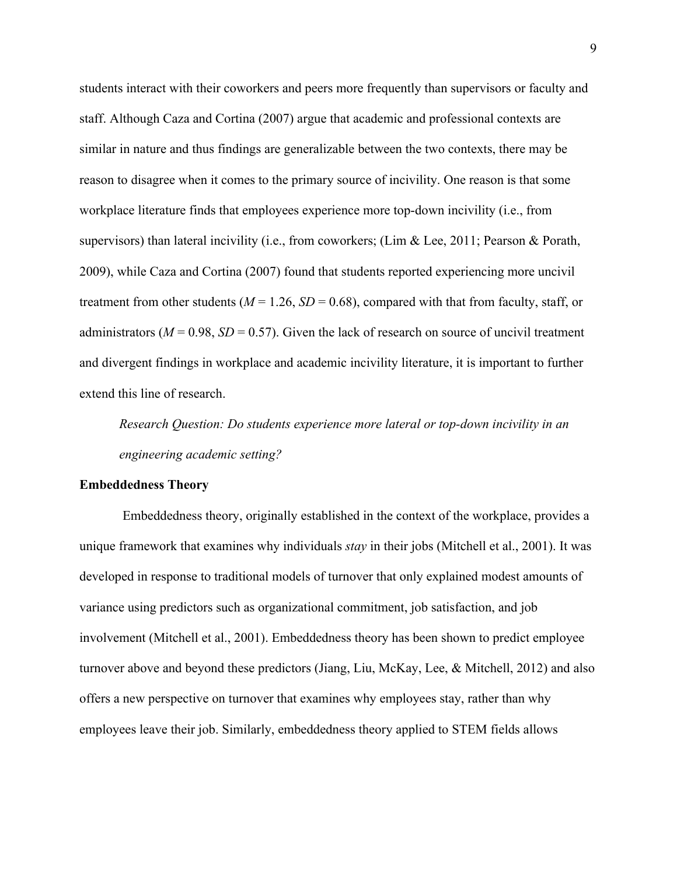students interact with their coworkers and peers more frequently than supervisors or faculty and staff. Although Caza and Cortina (2007) argue that academic and professional contexts are similar in nature and thus findings are generalizable between the two contexts, there may be reason to disagree when it comes to the primary source of incivility. One reason is that some workplace literature finds that employees experience more top-down incivility (i.e., from supervisors) than lateral incivility (i.e., from coworkers; (Lim & Lee, 2011; Pearson & Porath, 2009), while Caza and Cortina (2007) found that students reported experiencing more uncivil treatment from other students ( $M = 1.26$ ,  $SD = 0.68$ ), compared with that from faculty, staff, or administrators ( $M = 0.98$ ,  $SD = 0.57$ ). Given the lack of research on source of uncivil treatment and divergent findings in workplace and academic incivility literature, it is important to further extend this line of research.

*Research Question: Do students experience more lateral or top-down incivility in an engineering academic setting?* 

#### **Embeddedness Theory**

Embeddedness theory, originally established in the context of the workplace, provides a unique framework that examines why individuals *stay* in their jobs (Mitchell et al., 2001). It was developed in response to traditional models of turnover that only explained modest amounts of variance using predictors such as organizational commitment, job satisfaction, and job involvement (Mitchell et al., 2001). Embeddedness theory has been shown to predict employee turnover above and beyond these predictors (Jiang, Liu, McKay, Lee, & Mitchell, 2012) and also offers a new perspective on turnover that examines why employees stay, rather than why employees leave their job. Similarly, embeddedness theory applied to STEM fields allows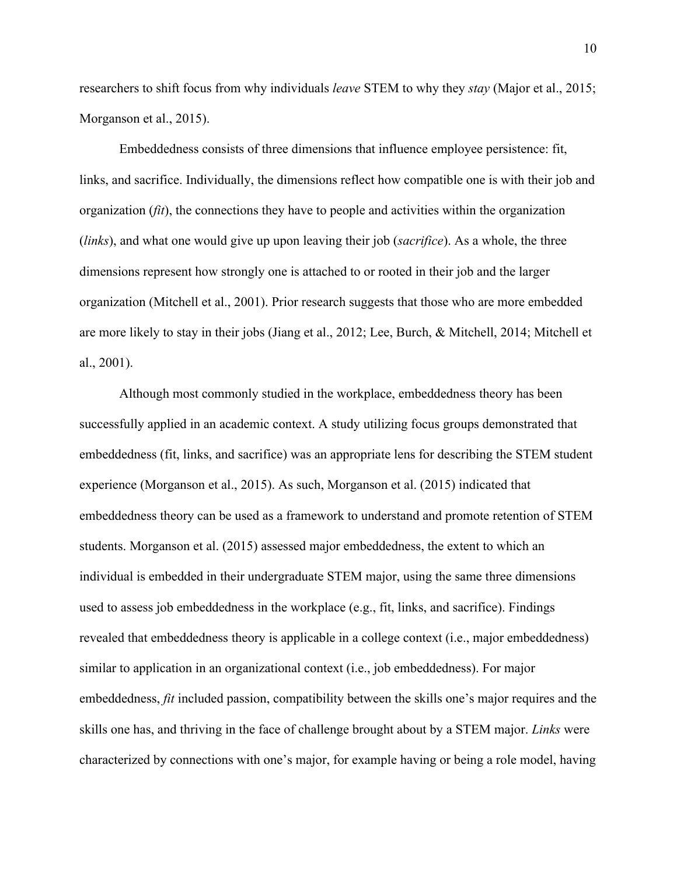researchers to shift focus from why individuals *leave* STEM to why they *stay* (Major et al., 2015; Morganson et al., 2015).

Embeddedness consists of three dimensions that influence employee persistence: fit, links, and sacrifice. Individually, the dimensions reflect how compatible one is with their job and organization (*fit*), the connections they have to people and activities within the organization (*links*), and what one would give up upon leaving their job (*sacrifice*). As a whole, the three dimensions represent how strongly one is attached to or rooted in their job and the larger organization (Mitchell et al., 2001). Prior research suggests that those who are more embedded are more likely to stay in their jobs (Jiang et al., 2012; Lee, Burch, & Mitchell, 2014; Mitchell et al., 2001).

Although most commonly studied in the workplace, embeddedness theory has been successfully applied in an academic context. A study utilizing focus groups demonstrated that embeddedness (fit, links, and sacrifice) was an appropriate lens for describing the STEM student experience (Morganson et al., 2015). As such, Morganson et al. (2015) indicated that embeddedness theory can be used as a framework to understand and promote retention of STEM students. Morganson et al. (2015) assessed major embeddedness, the extent to which an individual is embedded in their undergraduate STEM major, using the same three dimensions used to assess job embeddedness in the workplace (e.g., fit, links, and sacrifice). Findings revealed that embeddedness theory is applicable in a college context (i.e., major embeddedness) similar to application in an organizational context (i.e., job embeddedness). For major embeddedness, *fit* included passion, compatibility between the skills one's major requires and the skills one has, and thriving in the face of challenge brought about by a STEM major. *Links* were characterized by connections with one's major, for example having or being a role model, having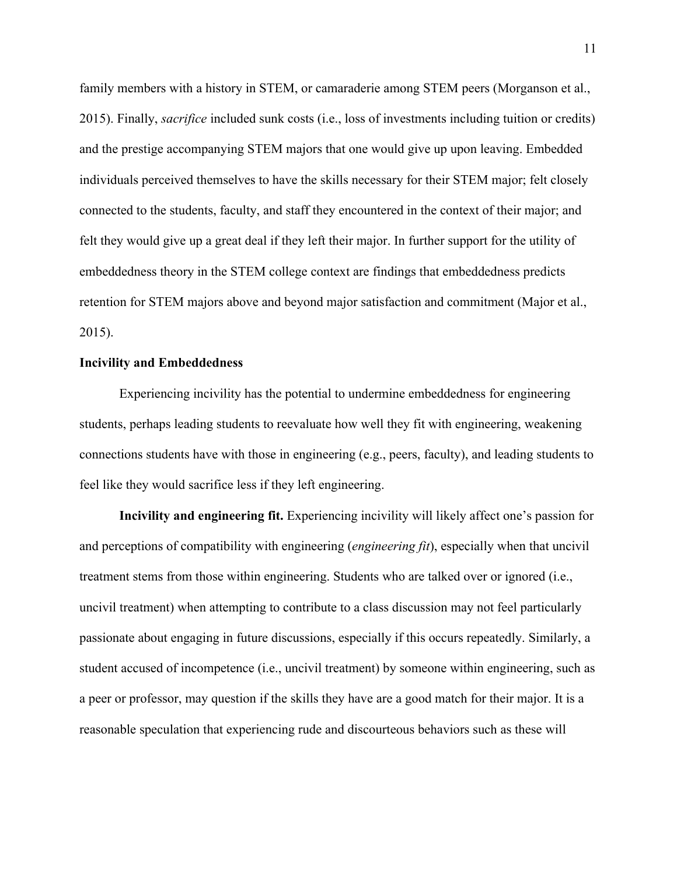family members with a history in STEM, or camaraderie among STEM peers (Morganson et al., 2015). Finally, *sacrifice* included sunk costs (i.e., loss of investments including tuition or credits) and the prestige accompanying STEM majors that one would give up upon leaving. Embedded individuals perceived themselves to have the skills necessary for their STEM major; felt closely connected to the students, faculty, and staff they encountered in the context of their major; and felt they would give up a great deal if they left their major. In further support for the utility of embeddedness theory in the STEM college context are findings that embeddedness predicts retention for STEM majors above and beyond major satisfaction and commitment (Major et al., 2015).

#### **Incivility and Embeddedness**

Experiencing incivility has the potential to undermine embeddedness for engineering students, perhaps leading students to reevaluate how well they fit with engineering, weakening connections students have with those in engineering (e.g., peers, faculty), and leading students to feel like they would sacrifice less if they left engineering.

**Incivility and engineering fit.** Experiencing incivility will likely affect one's passion for and perceptions of compatibility with engineering (*engineering fit*), especially when that uncivil treatment stems from those within engineering. Students who are talked over or ignored (i.e., uncivil treatment) when attempting to contribute to a class discussion may not feel particularly passionate about engaging in future discussions, especially if this occurs repeatedly. Similarly, a student accused of incompetence (i.e., uncivil treatment) by someone within engineering, such as a peer or professor, may question if the skills they have are a good match for their major. It is a reasonable speculation that experiencing rude and discourteous behaviors such as these will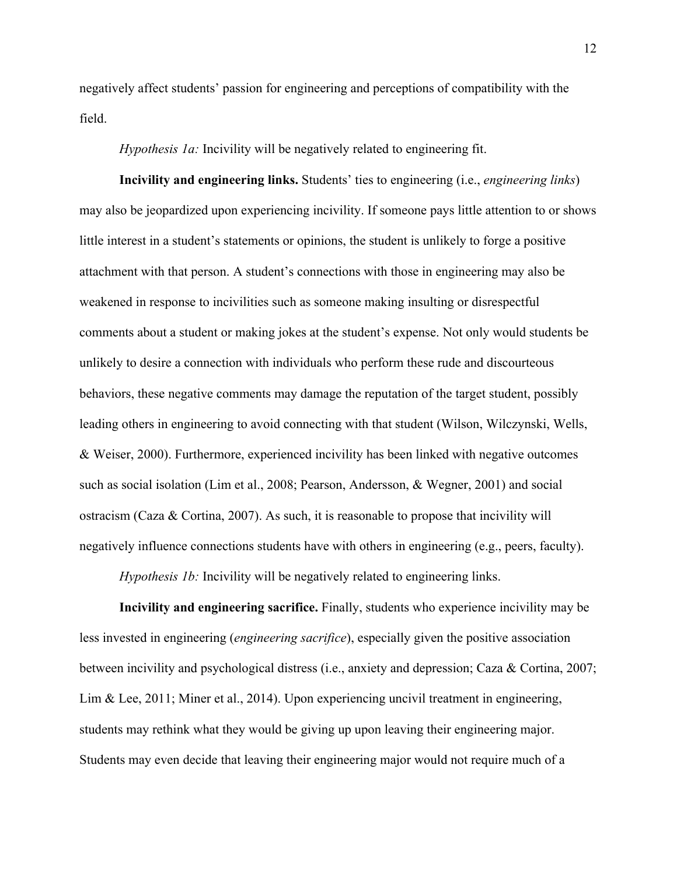negatively affect students' passion for engineering and perceptions of compatibility with the field.

*Hypothesis 1a:* Incivility will be negatively related to engineering fit.

**Incivility and engineering links.** Students' ties to engineering (i.e., *engineering links*) may also be jeopardized upon experiencing incivility. If someone pays little attention to or shows little interest in a student's statements or opinions, the student is unlikely to forge a positive attachment with that person. A student's connections with those in engineering may also be weakened in response to incivilities such as someone making insulting or disrespectful comments about a student or making jokes at the student's expense. Not only would students be unlikely to desire a connection with individuals who perform these rude and discourteous behaviors, these negative comments may damage the reputation of the target student, possibly leading others in engineering to avoid connecting with that student (Wilson, Wilczynski, Wells, & Weiser, 2000). Furthermore, experienced incivility has been linked with negative outcomes such as social isolation (Lim et al., 2008; Pearson, Andersson, & Wegner, 2001) and social ostracism (Caza & Cortina, 2007). As such, it is reasonable to propose that incivility will negatively influence connections students have with others in engineering (e.g., peers, faculty).

*Hypothesis 1b:* Incivility will be negatively related to engineering links.

**Incivility and engineering sacrifice.** Finally, students who experience incivility may be less invested in engineering (*engineering sacrifice*), especially given the positive association between incivility and psychological distress (i.e., anxiety and depression; Caza & Cortina, 2007; Lim & Lee, 2011; Miner et al., 2014). Upon experiencing uncivil treatment in engineering, students may rethink what they would be giving up upon leaving their engineering major. Students may even decide that leaving their engineering major would not require much of a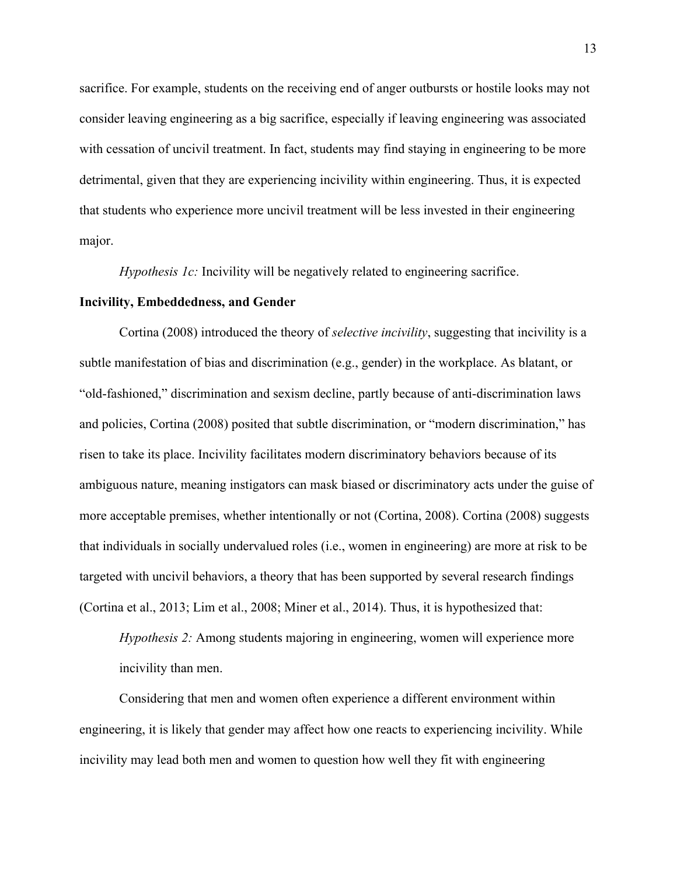sacrifice. For example, students on the receiving end of anger outbursts or hostile looks may not consider leaving engineering as a big sacrifice, especially if leaving engineering was associated with cessation of uncivil treatment. In fact, students may find staying in engineering to be more detrimental, given that they are experiencing incivility within engineering. Thus, it is expected that students who experience more uncivil treatment will be less invested in their engineering major.

*Hypothesis 1c:* Incivility will be negatively related to engineering sacrifice.

#### **Incivility, Embeddedness, and Gender**

Cortina (2008) introduced the theory of *selective incivility*, suggesting that incivility is a subtle manifestation of bias and discrimination (e.g., gender) in the workplace. As blatant, or "old-fashioned," discrimination and sexism decline, partly because of anti-discrimination laws and policies, Cortina (2008) posited that subtle discrimination, or "modern discrimination," has risen to take its place. Incivility facilitates modern discriminatory behaviors because of its ambiguous nature, meaning instigators can mask biased or discriminatory acts under the guise of more acceptable premises, whether intentionally or not (Cortina, 2008). Cortina (2008) suggests that individuals in socially undervalued roles (i.e., women in engineering) are more at risk to be targeted with uncivil behaviors, a theory that has been supported by several research findings (Cortina et al., 2013; Lim et al., 2008; Miner et al., 2014). Thus, it is hypothesized that:

*Hypothesis 2:* Among students majoring in engineering, women will experience more incivility than men.

Considering that men and women often experience a different environment within engineering, it is likely that gender may affect how one reacts to experiencing incivility. While incivility may lead both men and women to question how well they fit with engineering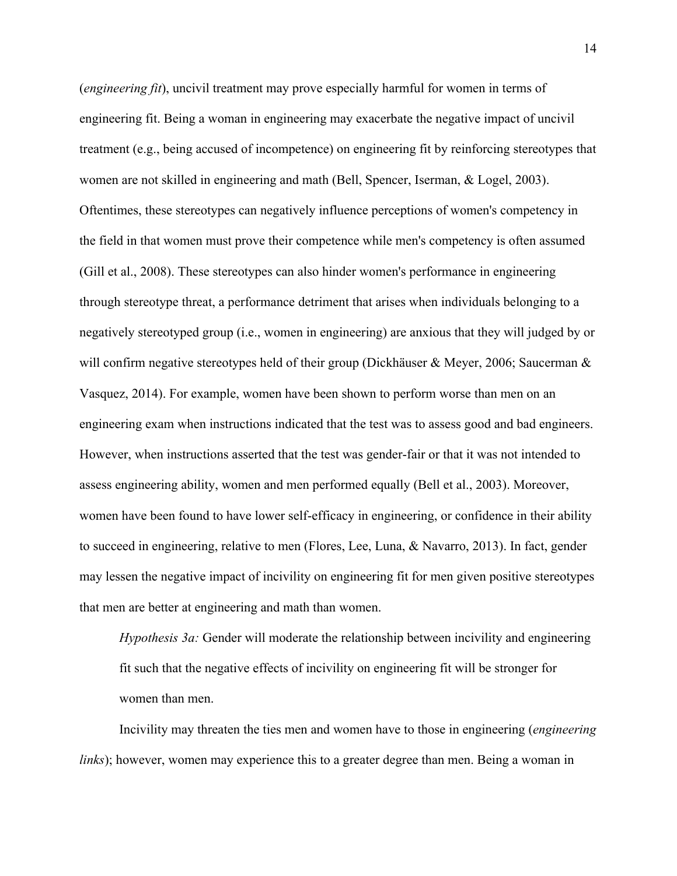(*engineering fit*), uncivil treatment may prove especially harmful for women in terms of engineering fit. Being a woman in engineering may exacerbate the negative impact of uncivil treatment (e.g., being accused of incompetence) on engineering fit by reinforcing stereotypes that women are not skilled in engineering and math (Bell, Spencer, Iserman, & Logel, 2003). Oftentimes, these stereotypes can negatively influence perceptions of women's competency in the field in that women must prove their competence while men's competency is often assumed (Gill et al., 2008). These stereotypes can also hinder women's performance in engineering through stereotype threat, a performance detriment that arises when individuals belonging to a negatively stereotyped group (i.e., women in engineering) are anxious that they will judged by or will confirm negative stereotypes held of their group (Dickhäuser & Meyer, 2006; Saucerman  $\&$ Vasquez, 2014). For example, women have been shown to perform worse than men on an engineering exam when instructions indicated that the test was to assess good and bad engineers. However, when instructions asserted that the test was gender-fair or that it was not intended to assess engineering ability, women and men performed equally (Bell et al., 2003). Moreover, women have been found to have lower self-efficacy in engineering, or confidence in their ability to succeed in engineering, relative to men (Flores, Lee, Luna, & Navarro, 2013). In fact, gender may lessen the negative impact of incivility on engineering fit for men given positive stereotypes that men are better at engineering and math than women.

*Hypothesis 3a:* Gender will moderate the relationship between incivility and engineering fit such that the negative effects of incivility on engineering fit will be stronger for women than men.

Incivility may threaten the ties men and women have to those in engineering (*engineering links*); however, women may experience this to a greater degree than men. Being a woman in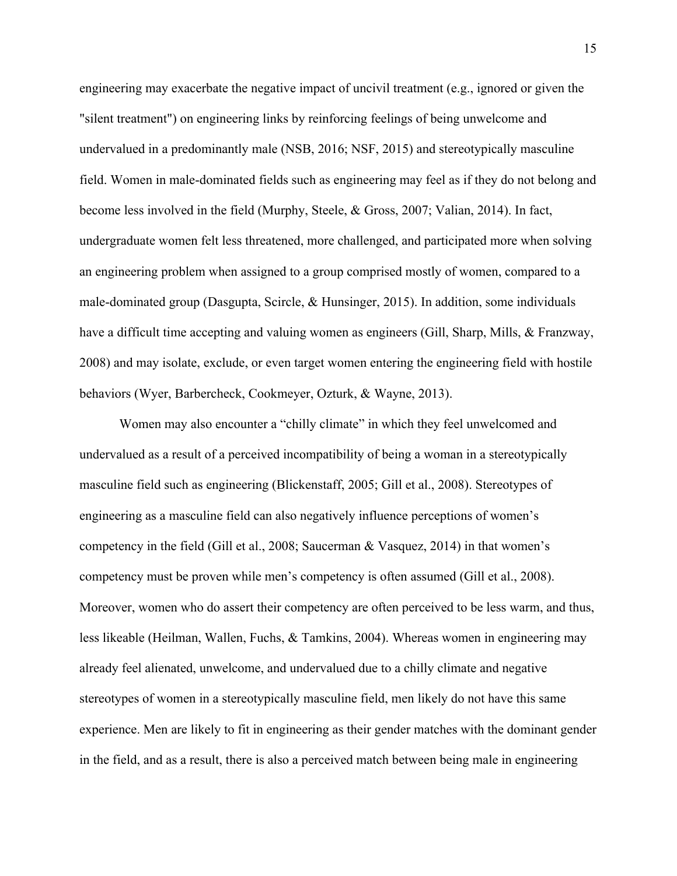engineering may exacerbate the negative impact of uncivil treatment (e.g., ignored or given the "silent treatment") on engineering links by reinforcing feelings of being unwelcome and undervalued in a predominantly male (NSB, 2016; NSF, 2015) and stereotypically masculine field. Women in male-dominated fields such as engineering may feel as if they do not belong and become less involved in the field (Murphy, Steele, & Gross, 2007; Valian, 2014). In fact, undergraduate women felt less threatened, more challenged, and participated more when solving an engineering problem when assigned to a group comprised mostly of women, compared to a male-dominated group (Dasgupta, Scircle, & Hunsinger, 2015). In addition, some individuals have a difficult time accepting and valuing women as engineers (Gill, Sharp, Mills, & Franzway, 2008) and may isolate, exclude, or even target women entering the engineering field with hostile behaviors (Wyer, Barbercheck, Cookmeyer, Ozturk, & Wayne, 2013).

Women may also encounter a "chilly climate" in which they feel unwelcomed and undervalued as a result of a perceived incompatibility of being a woman in a stereotypically masculine field such as engineering (Blickenstaff, 2005; Gill et al., 2008). Stereotypes of engineering as a masculine field can also negatively influence perceptions of women's competency in the field (Gill et al., 2008; Saucerman & Vasquez, 2014) in that women's competency must be proven while men's competency is often assumed (Gill et al., 2008). Moreover, women who do assert their competency are often perceived to be less warm, and thus, less likeable (Heilman, Wallen, Fuchs, & Tamkins, 2004). Whereas women in engineering may already feel alienated, unwelcome, and undervalued due to a chilly climate and negative stereotypes of women in a stereotypically masculine field, men likely do not have this same experience. Men are likely to fit in engineering as their gender matches with the dominant gender in the field, and as a result, there is also a perceived match between being male in engineering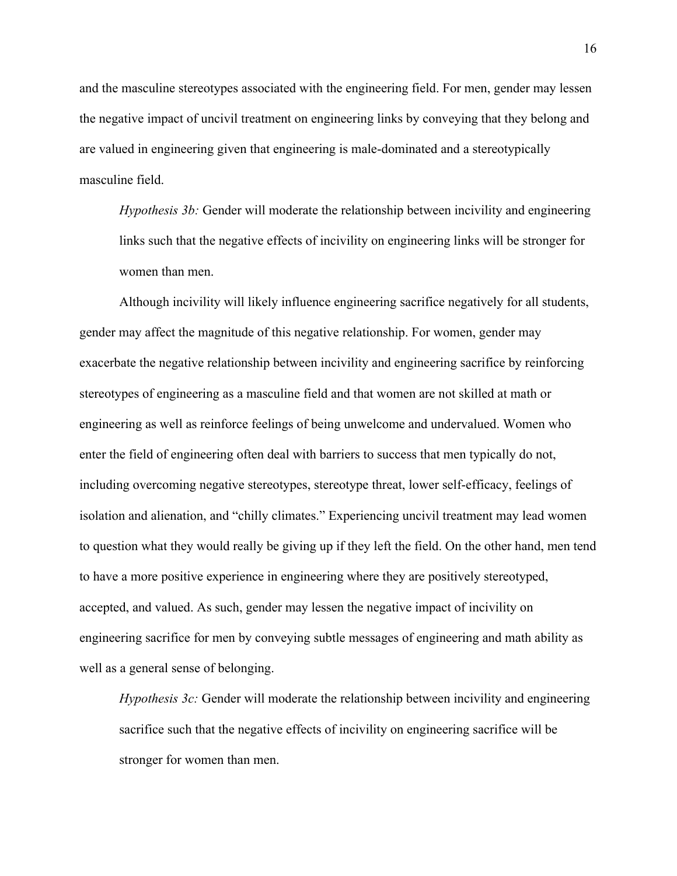and the masculine stereotypes associated with the engineering field. For men, gender may lessen the negative impact of uncivil treatment on engineering links by conveying that they belong and are valued in engineering given that engineering is male-dominated and a stereotypically masculine field.

*Hypothesis 3b:* Gender will moderate the relationship between incivility and engineering links such that the negative effects of incivility on engineering links will be stronger for women than men.

Although incivility will likely influence engineering sacrifice negatively for all students, gender may affect the magnitude of this negative relationship. For women, gender may exacerbate the negative relationship between incivility and engineering sacrifice by reinforcing stereotypes of engineering as a masculine field and that women are not skilled at math or engineering as well as reinforce feelings of being unwelcome and undervalued. Women who enter the field of engineering often deal with barriers to success that men typically do not, including overcoming negative stereotypes, stereotype threat, lower self-efficacy, feelings of isolation and alienation, and "chilly climates." Experiencing uncivil treatment may lead women to question what they would really be giving up if they left the field. On the other hand, men tend to have a more positive experience in engineering where they are positively stereotyped, accepted, and valued. As such, gender may lessen the negative impact of incivility on engineering sacrifice for men by conveying subtle messages of engineering and math ability as well as a general sense of belonging.

*Hypothesis 3c:* Gender will moderate the relationship between incivility and engineering sacrifice such that the negative effects of incivility on engineering sacrifice will be stronger for women than men.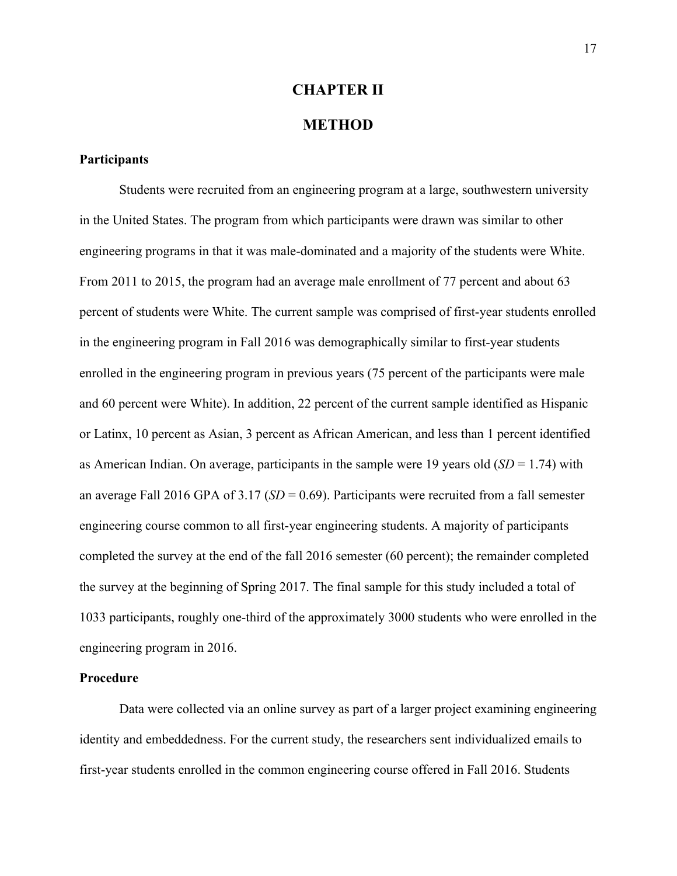# **CHAPTER II**

### **METHOD**

#### **Participants**

Students were recruited from an engineering program at a large, southwestern university in the United States. The program from which participants were drawn was similar to other engineering programs in that it was male-dominated and a majority of the students were White. From 2011 to 2015, the program had an average male enrollment of 77 percent and about 63 percent of students were White. The current sample was comprised of first-year students enrolled in the engineering program in Fall 2016 was demographically similar to first-year students enrolled in the engineering program in previous years (75 percent of the participants were male and 60 percent were White). In addition, 22 percent of the current sample identified as Hispanic or Latinx, 10 percent as Asian, 3 percent as African American, and less than 1 percent identified as American Indian. On average, participants in the sample were 19 years old (*SD* = 1.74) with an average Fall 2016 GPA of 3.17 (*SD* = 0.69). Participants were recruited from a fall semester engineering course common to all first-year engineering students. A majority of participants completed the survey at the end of the fall 2016 semester (60 percent); the remainder completed the survey at the beginning of Spring 2017. The final sample for this study included a total of 1033 participants, roughly one-third of the approximately 3000 students who were enrolled in the engineering program in 2016.

#### **Procedure**

Data were collected via an online survey as part of a larger project examining engineering identity and embeddedness. For the current study, the researchers sent individualized emails to first-year students enrolled in the common engineering course offered in Fall 2016. Students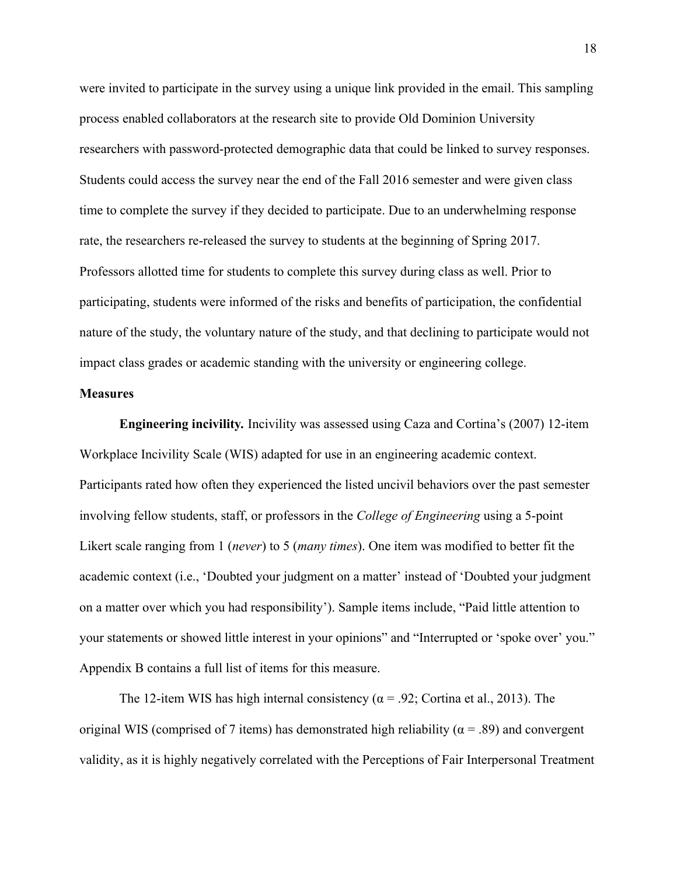were invited to participate in the survey using a unique link provided in the email. This sampling process enabled collaborators at the research site to provide Old Dominion University researchers with password-protected demographic data that could be linked to survey responses. Students could access the survey near the end of the Fall 2016 semester and were given class time to complete the survey if they decided to participate. Due to an underwhelming response rate, the researchers re-released the survey to students at the beginning of Spring 2017. Professors allotted time for students to complete this survey during class as well. Prior to participating, students were informed of the risks and benefits of participation, the confidential nature of the study, the voluntary nature of the study, and that declining to participate would not impact class grades or academic standing with the university or engineering college.

#### **Measures**

**Engineering incivility***.* Incivility was assessed using Caza and Cortina's (2007) 12-item Workplace Incivility Scale (WIS) adapted for use in an engineering academic context. Participants rated how often they experienced the listed uncivil behaviors over the past semester involving fellow students, staff, or professors in the *College of Engineering* using a 5-point Likert scale ranging from 1 (*never*) to 5 (*many times*). One item was modified to better fit the academic context (i.e., 'Doubted your judgment on a matter' instead of 'Doubted your judgment on a matter over which you had responsibility'). Sample items include, "Paid little attention to your statements or showed little interest in your opinions" and "Interrupted or 'spoke over' you." Appendix B contains a full list of items for this measure.

The 12-item WIS has high internal consistency ( $\alpha$  = .92; Cortina et al., 2013). The original WIS (comprised of 7 items) has demonstrated high reliability ( $\alpha$  = .89) and convergent validity, as it is highly negatively correlated with the Perceptions of Fair Interpersonal Treatment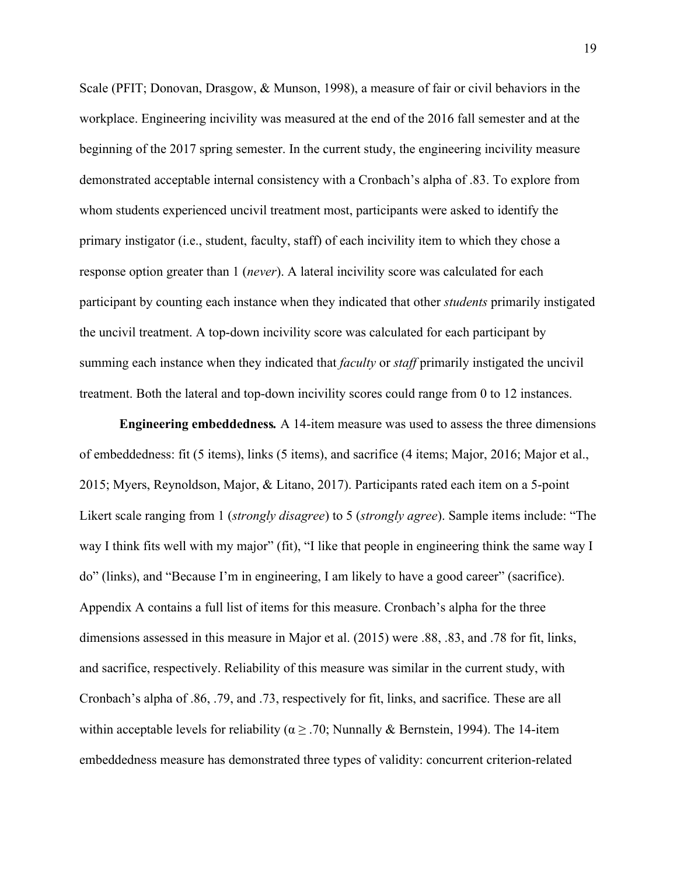Scale (PFIT; Donovan, Drasgow, & Munson, 1998), a measure of fair or civil behaviors in the workplace. Engineering incivility was measured at the end of the 2016 fall semester and at the beginning of the 2017 spring semester. In the current study, the engineering incivility measure demonstrated acceptable internal consistency with a Cronbach's alpha of .83. To explore from whom students experienced uncivil treatment most, participants were asked to identify the primary instigator (i.e., student, faculty, staff) of each incivility item to which they chose a response option greater than 1 (*never*). A lateral incivility score was calculated for each participant by counting each instance when they indicated that other *students* primarily instigated the uncivil treatment. A top-down incivility score was calculated for each participant by summing each instance when they indicated that *faculty* or *staff* primarily instigated the uncivil treatment. Both the lateral and top-down incivility scores could range from 0 to 12 instances.

**Engineering embeddedness***.* A 14-item measure was used to assess the three dimensions of embeddedness: fit (5 items), links (5 items), and sacrifice (4 items; Major, 2016; Major et al., 2015; Myers, Reynoldson, Major, & Litano, 2017). Participants rated each item on a 5-point Likert scale ranging from 1 (*strongly disagree*) to 5 (*strongly agree*). Sample items include: "The way I think fits well with my major" (fit), "I like that people in engineering think the same way I do" (links), and "Because I'm in engineering, I am likely to have a good career" (sacrifice). Appendix A contains a full list of items for this measure. Cronbach's alpha for the three dimensions assessed in this measure in Major et al. (2015) were .88, .83, and .78 for fit, links, and sacrifice, respectively. Reliability of this measure was similar in the current study, with Cronbach's alpha of .86, .79, and .73, respectively for fit, links, and sacrifice. These are all within acceptable levels for reliability ( $\alpha \geq 0.70$ ; Nunnally & Bernstein, 1994). The 14-item embeddedness measure has demonstrated three types of validity: concurrent criterion-related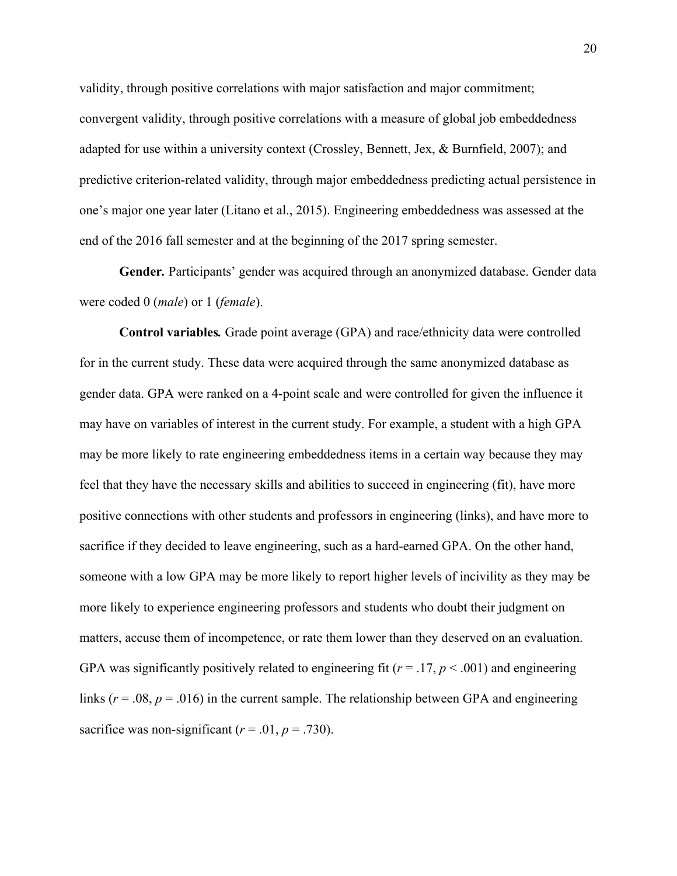validity, through positive correlations with major satisfaction and major commitment; convergent validity, through positive correlations with a measure of global job embeddedness adapted for use within a university context (Crossley, Bennett, Jex, & Burnfield, 2007); and predictive criterion-related validity, through major embeddedness predicting actual persistence in one's major one year later (Litano et al., 2015). Engineering embeddedness was assessed at the end of the 2016 fall semester and at the beginning of the 2017 spring semester.

**Gender***.* Participants' gender was acquired through an anonymized database. Gender data were coded 0 (*male*) or 1 (*female*).

**Control variables***.* Grade point average (GPA) and race/ethnicity data were controlled for in the current study. These data were acquired through the same anonymized database as gender data. GPA were ranked on a 4-point scale and were controlled for given the influence it may have on variables of interest in the current study. For example, a student with a high GPA may be more likely to rate engineering embeddedness items in a certain way because they may feel that they have the necessary skills and abilities to succeed in engineering (fit), have more positive connections with other students and professors in engineering (links), and have more to sacrifice if they decided to leave engineering, such as a hard-earned GPA. On the other hand, someone with a low GPA may be more likely to report higher levels of incivility as they may be more likely to experience engineering professors and students who doubt their judgment on matters, accuse them of incompetence, or rate them lower than they deserved on an evaluation. GPA was significantly positively related to engineering fit  $(r = .17, p < .001)$  and engineering links ( $r = .08$ ,  $p = .016$ ) in the current sample. The relationship between GPA and engineering sacrifice was non-significant  $(r = .01, p = .730)$ .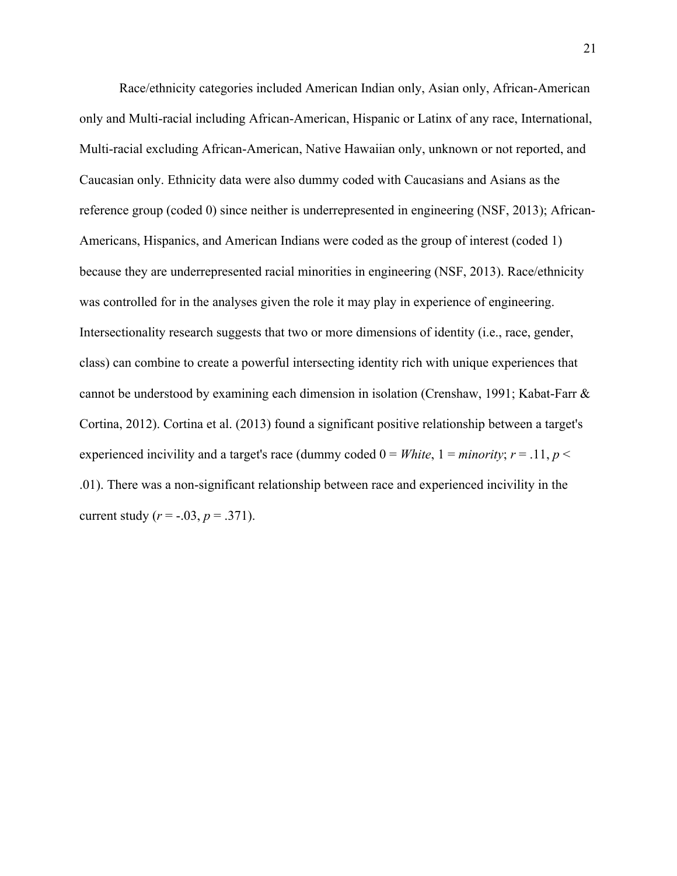Race/ethnicity categories included American Indian only, Asian only, African-American only and Multi-racial including African-American, Hispanic or Latinx of any race, International, Multi-racial excluding African-American, Native Hawaiian only, unknown or not reported, and Caucasian only. Ethnicity data were also dummy coded with Caucasians and Asians as the reference group (coded 0) since neither is underrepresented in engineering (NSF, 2013); African-Americans, Hispanics, and American Indians were coded as the group of interest (coded 1) because they are underrepresented racial minorities in engineering (NSF, 2013). Race/ethnicity was controlled for in the analyses given the role it may play in experience of engineering. Intersectionality research suggests that two or more dimensions of identity (i.e., race, gender, class) can combine to create a powerful intersecting identity rich with unique experiences that cannot be understood by examining each dimension in isolation (Crenshaw, 1991; Kabat-Farr & Cortina, 2012). Cortina et al. (2013) found a significant positive relationship between a target's experienced incivility and a target's race (dummy coded  $0 = White$ ,  $1 = minority$ ;  $r = .11$ ,  $p <$ .01). There was a non-significant relationship between race and experienced incivility in the current study  $(r = -.03, p = .371)$ .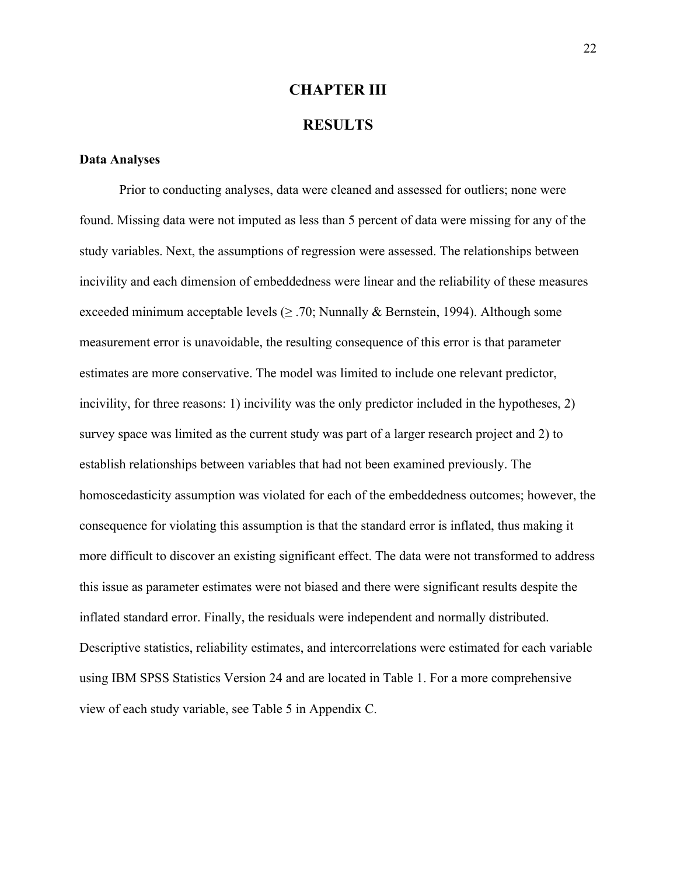## **CHAPTER III**

### **RESULTS**

#### **Data Analyses**

Prior to conducting analyses, data were cleaned and assessed for outliers; none were found. Missing data were not imputed as less than 5 percent of data were missing for any of the study variables. Next, the assumptions of regression were assessed. The relationships between incivility and each dimension of embeddedness were linear and the reliability of these measures exceeded minimum acceptable levels ( $\geq$  .70; Nunnally & Bernstein, 1994). Although some measurement error is unavoidable, the resulting consequence of this error is that parameter estimates are more conservative. The model was limited to include one relevant predictor, incivility, for three reasons: 1) incivility was the only predictor included in the hypotheses, 2) survey space was limited as the current study was part of a larger research project and 2) to establish relationships between variables that had not been examined previously. The homoscedasticity assumption was violated for each of the embeddedness outcomes; however, the consequence for violating this assumption is that the standard error is inflated, thus making it more difficult to discover an existing significant effect. The data were not transformed to address this issue as parameter estimates were not biased and there were significant results despite the inflated standard error. Finally, the residuals were independent and normally distributed. Descriptive statistics, reliability estimates, and intercorrelations were estimated for each variable using IBM SPSS Statistics Version 24 and are located in Table 1. For a more comprehensive view of each study variable, see Table 5 in Appendix C.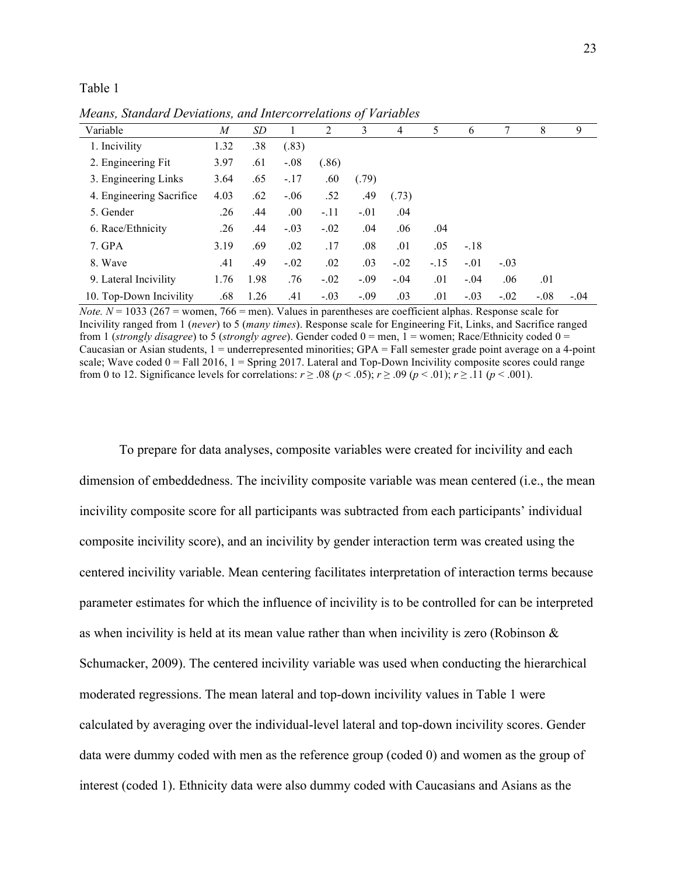Table 1

|                          |      |      |        |        | $\boldsymbol{\mathcal{U}}$ |        |        |        |        |        |        |
|--------------------------|------|------|--------|--------|----------------------------|--------|--------|--------|--------|--------|--------|
| Variable                 | M    | SD   |        | 2      | 3                          | 4      | 5      | 6      |        | 8      | 9      |
| 1. Incivility            | 1.32 | .38  | (.83)  |        |                            |        |        |        |        |        |        |
| 2. Engineering Fit.      | 3.97 | .61  | $-.08$ | (.86)  |                            |        |        |        |        |        |        |
| 3. Engineering Links     | 3.64 | .65  | $-17$  | .60    | (.79)                      |        |        |        |        |        |        |
| 4. Engineering Sacrifice | 4.03 | .62  | $-.06$ | .52    | .49                        | (.73)  |        |        |        |        |        |
| 5. Gender                | .26  | .44  | .00.   | $-.11$ | $-.01$                     | .04    |        |        |        |        |        |
| 6. Race/Ethnicity        | .26  | .44  | $-.03$ | $-.02$ | .04                        | .06    | .04    |        |        |        |        |
| 7. GPA                   | 3.19 | .69  | .02    | .17    | .08                        | .01    | .05    | $-.18$ |        |        |        |
| 8. Wave                  | .41  | .49  | $-.02$ | .02    | .03                        | $-.02$ | $-.15$ | $-.01$ | $-.03$ |        |        |
| 9. Lateral Incivility    | 1.76 | 1.98 | .76    | $-.02$ | $-.09$                     | $-.04$ | .01    | $-.04$ | .06    | .01    |        |
| 10. Top-Down Incivility  | .68  | 1.26 | .41    | $-.03$ | $-.09$                     | .03    | .01    | $-.03$ | $-.02$ | $-.08$ | $-.04$ |

*Means, Standard Deviations, and Intercorrelations of Variables*

*Note.*  $N = 1033$  (267 = women, 766 = men). Values in parentheses are coefficient alphas. Response scale for Incivility ranged from 1 (*never*) to 5 (*many times*). Response scale for Engineering Fit, Links, and Sacrifice ranged from 1 (*strongly disagree*) to 5 (*strongly agree*). Gender coded 0 = men, 1 = women; Race/Ethnicity coded 0 = Caucasian or Asian students,  $1 =$  underrepresented minorities; GPA = Fall semester grade point average on a 4-point scale; Wave coded  $0 =$  Fall 2016,  $1 =$  Spring 2017. Lateral and Top-Down Incivility composite scores could range from 0 to 12. Significance levels for correlations:  $r \ge 0.08$  ( $p < 0.05$ );  $r \ge 0.09$  ( $p < 0.01$ );  $r \ge 0.11$  ( $p < 0.001$ ).

To prepare for data analyses, composite variables were created for incivility and each dimension of embeddedness. The incivility composite variable was mean centered (i.e., the mean incivility composite score for all participants was subtracted from each participants' individual composite incivility score), and an incivility by gender interaction term was created using the centered incivility variable. Mean centering facilitates interpretation of interaction terms because parameter estimates for which the influence of incivility is to be controlled for can be interpreted as when incivility is held at its mean value rather than when incivility is zero (Robinson & Schumacker, 2009). The centered incivility variable was used when conducting the hierarchical moderated regressions. The mean lateral and top-down incivility values in Table 1 were calculated by averaging over the individual-level lateral and top-down incivility scores. Gender data were dummy coded with men as the reference group (coded 0) and women as the group of interest (coded 1). Ethnicity data were also dummy coded with Caucasians and Asians as the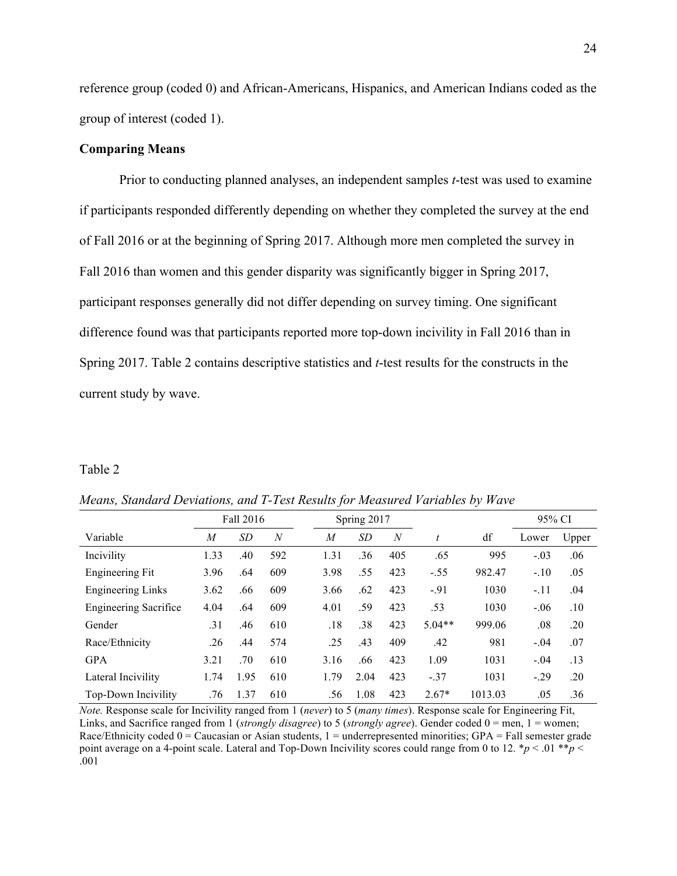reference group (coded 0) and African-Americans, Hispanics, and American Indians coded as the group of interest (coded 1).

### **Comparing Means**

Prior to conducting planned analyses, an independent samples *t*-test was used to examine if participants responded differently depending on whether they completed the survey at the end of Fall 2016 or at the beginning of Spring 2017. Although more men completed the survey in Fall 2016 than women and this gender disparity was significantly bigger in Spring 2017, participant responses generally did not differ depending on survey timing. One significant difference found was that participants reported more top-down incivility in Fall 2016 than in Spring 2017. Table 2 contains descriptive statistics and *t*-test results for the constructs in the current study by wave.

#### Table 2

|                              | Fall 2016      |           |                | Spring 2017    |           |                  |          |         | 95% CI |       |
|------------------------------|----------------|-----------|----------------|----------------|-----------|------------------|----------|---------|--------|-------|
| Variable                     | $\overline{M}$ | <i>SD</i> | $\overline{N}$ | $\overline{M}$ | <i>SD</i> | $\boldsymbol{N}$ | t        | df      | Lower  | Upper |
| Incivility                   | 1.33           | .40       | 592            | 1.31           | .36       | 405              | .65      | 995     | $-.03$ | .06   |
| Engineering Fit              | 3.96           | .64       | 609            | 3.98           | .55       | 423              | $-.55$   | 982.47  | $-.10$ | .05   |
| <b>Engineering Links</b>     | 3.62           | .66       | 609            | 3.66           | .62       | 423              | $-91$    | 1030    | $-.11$ | .04   |
| <b>Engineering Sacrifice</b> | 4.04           | .64       | 609            | 4.01           | .59       | 423              | .53      | 1030    | $-.06$ | .10   |
| Gender                       | .31            | .46       | 610            | .18            | .38       | 423              | $5.04**$ | 999.06  | .08    | .20   |
| Race/Ethnicity               | .26            | .44       | 574            | .25            | .43       | 409              | .42      | 981     | $-.04$ | .07   |
| <b>GPA</b>                   | 3.21           | .70       | 610            | 3.16           | .66       | 423              | 1.09     | 1031    | $-.04$ | .13   |
| Lateral Incivility           | 1.74           | 1.95      | 610            | 1.79           | 2.04      | 423              | $-.37$   | 1031    | $-.29$ | .20   |
| Top-Down Incivility          | .76            | 1.37      | 610            | .56            | 1.08      | 423              | $2.67*$  | 1013.03 | .05    | .36   |

*Means, Standard Deviations, and T-Test Results for Measured Variables by Wave*

*Note.* Response scale for Incivility ranged from 1 (*never*) to 5 (*many times*). Response scale for Engineering Fit, Links, and Sacrifice ranged from 1 (*strongly disagree*) to 5 (*strongly agree*). Gender coded 0 = men, 1 = women; Race/Ethnicity coded  $0 =$  Caucasian or Asian students,  $1 =$  underrepresented minorities; GPA = Fall semester grade point average on a 4-point scale. Lateral and Top-Down Incivility scores could range from 0 to 12.  $*_p$  < .01  $*_p$  < .001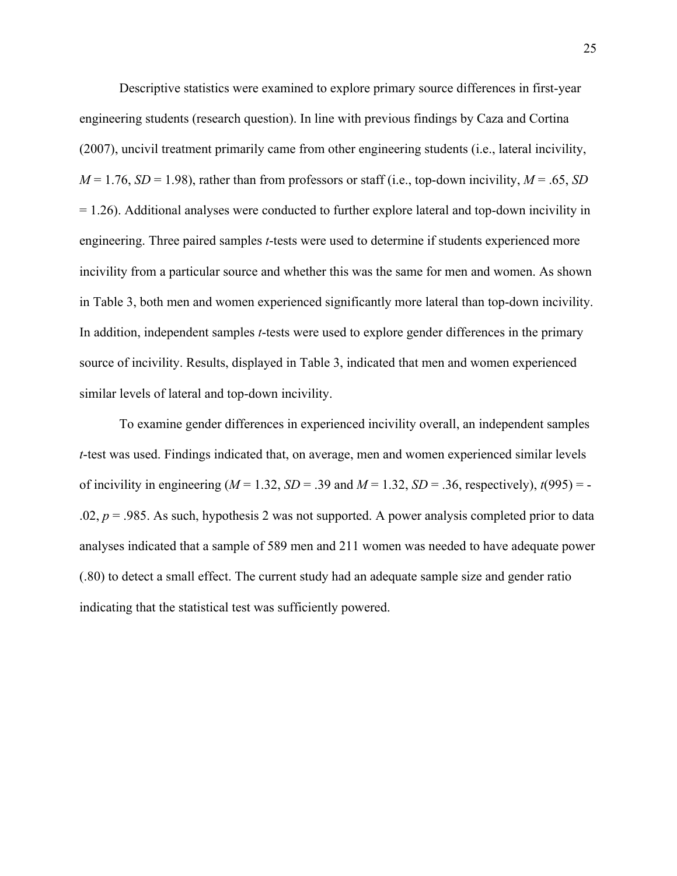Descriptive statistics were examined to explore primary source differences in first-year engineering students (research question). In line with previous findings by Caza and Cortina (2007), uncivil treatment primarily came from other engineering students (i.e., lateral incivility,  $M = 1.76$ ,  $SD = 1.98$ ), rather than from professors or staff (i.e., top-down incivility,  $M = .65$ , *SD* = 1.26). Additional analyses were conducted to further explore lateral and top-down incivility in engineering. Three paired samples *t*-tests were used to determine if students experienced more incivility from a particular source and whether this was the same for men and women. As shown in Table 3, both men and women experienced significantly more lateral than top-down incivility. In addition, independent samples *t*-tests were used to explore gender differences in the primary source of incivility. Results, displayed in Table 3, indicated that men and women experienced similar levels of lateral and top-down incivility.

To examine gender differences in experienced incivility overall, an independent samples *t*-test was used. Findings indicated that, on average, men and women experienced similar levels of incivility in engineering  $(M = 1.32, SD = .39$  and  $M = 1.32, SD = .36$ , respectively),  $t(995) = -t(995)$ .02,  $p = 0.985$ . As such, hypothesis 2 was not supported. A power analysis completed prior to data analyses indicated that a sample of 589 men and 211 women was needed to have adequate power (.80) to detect a small effect. The current study had an adequate sample size and gender ratio indicating that the statistical test was sufficiently powered.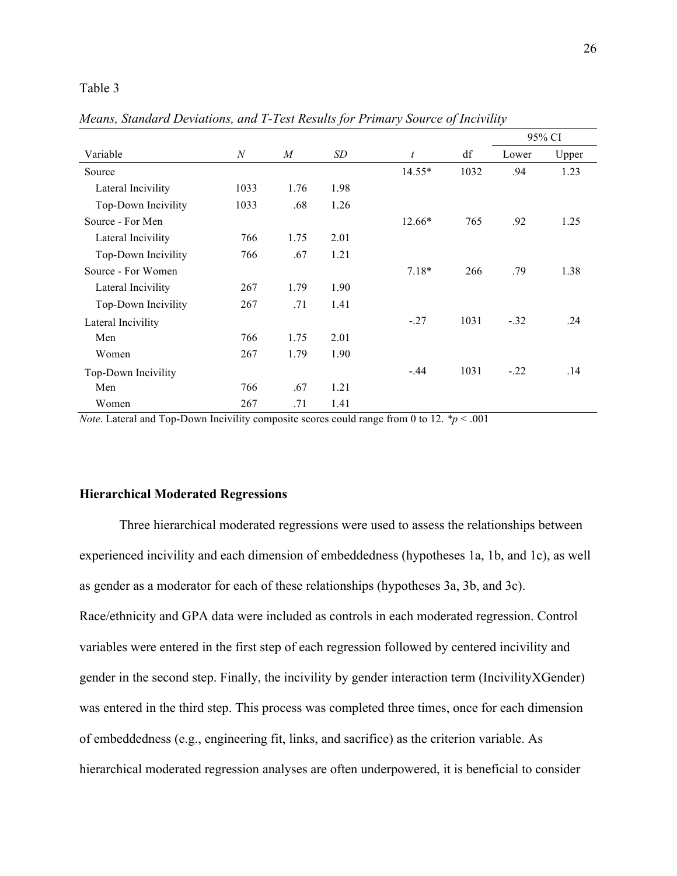#### Table 3

|                     |                  |                  |      |                  |      |        | 95% CI |
|---------------------|------------------|------------------|------|------------------|------|--------|--------|
| Variable            | $\boldsymbol{N}$ | $\boldsymbol{M}$ | SD   | $\boldsymbol{t}$ | df   | Lower  | Upper  |
| Source              |                  |                  |      | $14.55*$         | 1032 | .94    | 1.23   |
| Lateral Incivility  | 1033             | 1.76             | 1.98 |                  |      |        |        |
| Top-Down Incivility | 1033             | .68              | 1.26 |                  |      |        |        |
| Source - For Men    |                  |                  |      | 12.66*           | 765  | .92    | 1.25   |
| Lateral Incivility  | 766              | 1.75             | 2.01 |                  |      |        |        |
| Top-Down Incivility | 766              | .67              | 1.21 |                  |      |        |        |
| Source - For Women  |                  |                  |      | $7.18*$          | 266  | .79    | 1.38   |
| Lateral Incivility  | 267              | 1.79             | 1.90 |                  |      |        |        |
| Top-Down Incivility | 267              | .71              | 1.41 |                  |      |        |        |
| Lateral Incivility  |                  |                  |      | $-.27$           | 1031 | $-.32$ | .24    |
| Men                 | 766              | 1.75             | 2.01 |                  |      |        |        |
| Women               | 267              | 1.79             | 1.90 |                  |      |        |        |
| Top-Down Incivility |                  |                  |      | $-44$            | 1031 | $-.22$ | .14    |
| Men                 | 766              | .67              | 1.21 |                  |      |        |        |
| Women               | 267              | .71              | 1.41 |                  |      |        |        |

*Means, Standard Deviations, and T-Test Results for Primary Source of Incivility*

*Note*. Lateral and Top-Down Incivility composite scores could range from 0 to 12. *\*p* < .001

#### **Hierarchical Moderated Regressions**

Three hierarchical moderated regressions were used to assess the relationships between experienced incivility and each dimension of embeddedness (hypotheses 1a, 1b, and 1c), as well as gender as a moderator for each of these relationships (hypotheses 3a, 3b, and 3c). Race/ethnicity and GPA data were included as controls in each moderated regression. Control variables were entered in the first step of each regression followed by centered incivility and gender in the second step. Finally, the incivility by gender interaction term (IncivilityXGender) was entered in the third step. This process was completed three times, once for each dimension of embeddedness (e.g., engineering fit, links, and sacrifice) as the criterion variable. As hierarchical moderated regression analyses are often underpowered, it is beneficial to consider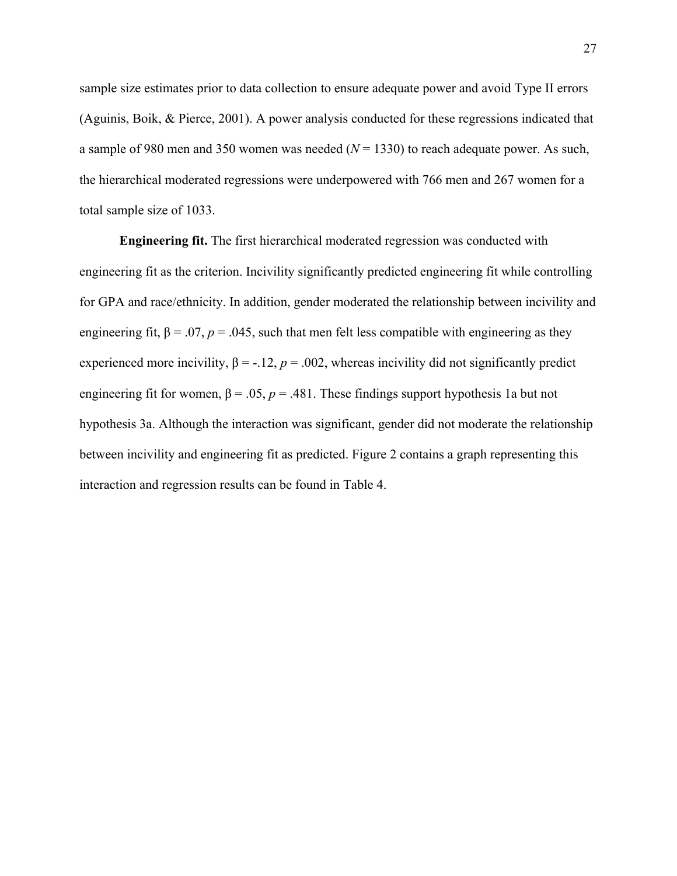sample size estimates prior to data collection to ensure adequate power and avoid Type II errors (Aguinis, Boik, & Pierce, 2001). A power analysis conducted for these regressions indicated that a sample of 980 men and 350 women was needed  $(N = 1330)$  to reach adequate power. As such, the hierarchical moderated regressions were underpowered with 766 men and 267 women for a total sample size of 1033.

**Engineering fit.** The first hierarchical moderated regression was conducted with engineering fit as the criterion. Incivility significantly predicted engineering fit while controlling for GPA and race/ethnicity. In addition, gender moderated the relationship between incivility and engineering fit,  $\beta = .07$ ,  $p = .045$ , such that men felt less compatible with engineering as they experienced more incivility,  $\beta = -12$ ,  $p = 0.002$ , whereas incivility did not significantly predict engineering fit for women,  $\beta = .05$ ,  $p = .481$ . These findings support hypothesis 1a but not hypothesis 3a. Although the interaction was significant, gender did not moderate the relationship between incivility and engineering fit as predicted. Figure 2 contains a graph representing this interaction and regression results can be found in Table 4.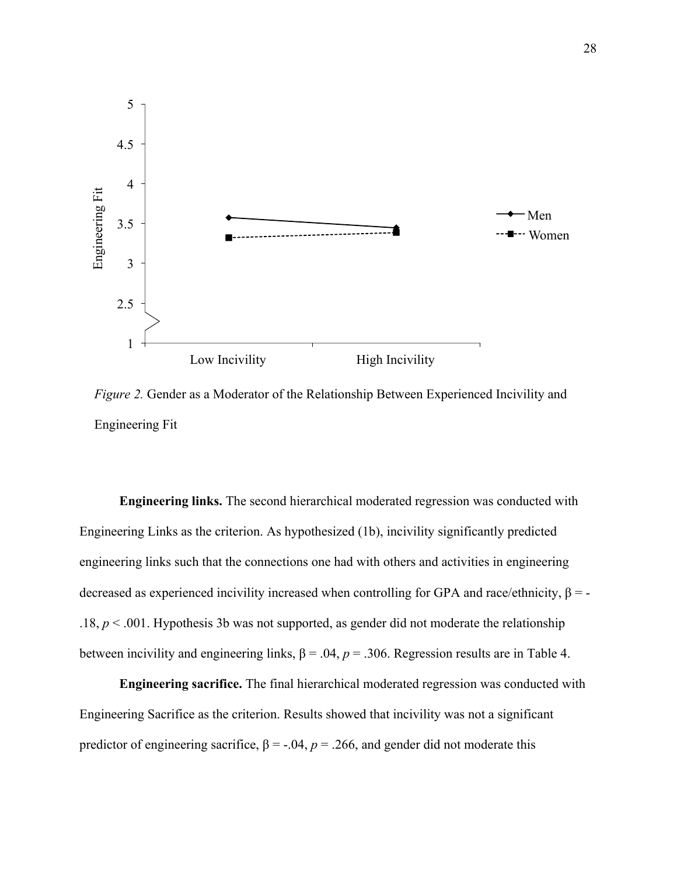

*Figure 2.* Gender as a Moderator of the Relationship Between Experienced Incivility and Engineering Fit

**Engineering links.** The second hierarchical moderated regression was conducted with Engineering Links as the criterion. As hypothesized (1b), incivility significantly predicted engineering links such that the connections one had with others and activities in engineering decreased as experienced incivility increased when controlling for GPA and race/ethnicity,  $\beta$  = -.18,  $p < .001$ . Hypothesis 3b was not supported, as gender did not moderate the relationship between incivility and engineering links,  $\beta = .04$ ,  $p = .306$ . Regression results are in Table 4.

**Engineering sacrifice.** The final hierarchical moderated regression was conducted with Engineering Sacrifice as the criterion. Results showed that incivility was not a significant predictor of engineering sacrifice,  $\beta = -.04$ ,  $p = .266$ , and gender did not moderate this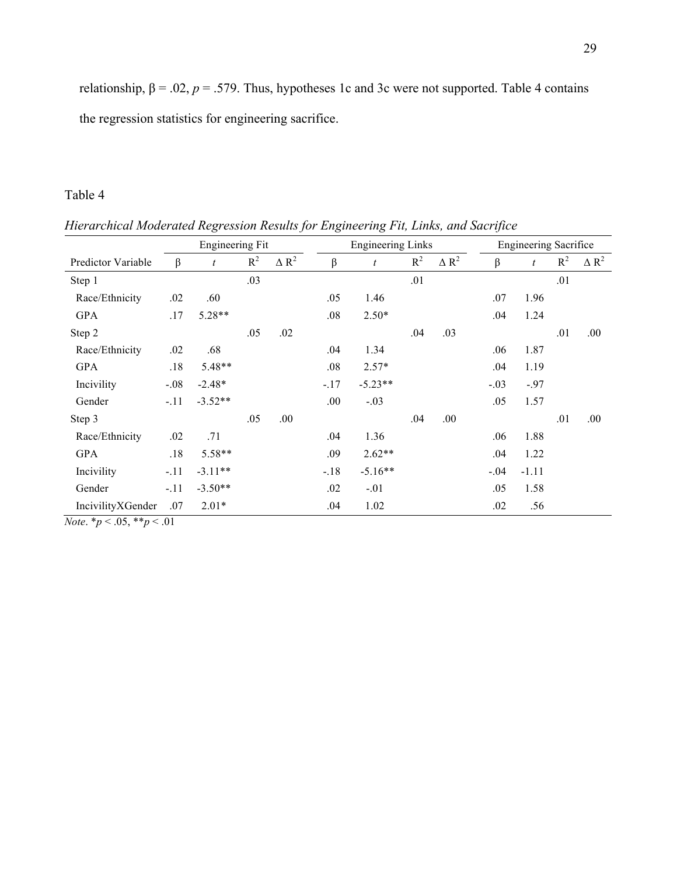relationship,  $β = .02$ ,  $p = .579$ . Thus, hypotheses 1c and 3c were not supported. Table 4 contains the regression statistics for engineering sacrifice.

# Table 4

*Hierarchical Moderated Regression Results for Engineering Fit, Links, and Sacrifice*

|                                                                                       |                   | Engineering Fit<br><b>Engineering Links</b><br><b>Engineering Sacrifice</b> |       |              |         |           |       |              |        |         |       |                 |
|---------------------------------------------------------------------------------------|-------------------|-----------------------------------------------------------------------------|-------|--------------|---------|-----------|-------|--------------|--------|---------|-------|-----------------|
| Predictor Variable                                                                    | $\beta$           | t                                                                           | $R^2$ | $\Delta R^2$ | $\beta$ | t         | $R^2$ | $\Delta R^2$ | β      | t       | $R^2$ | $\triangle R^2$ |
| Step 1                                                                                |                   |                                                                             | .03   |              |         |           | .01   |              |        |         | .01   |                 |
| Race/Ethnicity                                                                        | .02               | .60                                                                         |       |              | .05     | 1.46      |       |              | .07    | 1.96    |       |                 |
| <b>GPA</b>                                                                            | .17               | $5.28**$                                                                    |       |              | .08     | $2.50*$   |       |              | .04    | 1.24    |       |                 |
| Step 2                                                                                |                   |                                                                             | .05   | .02          |         |           | .04   | .03          |        |         | .01   | .00             |
| Race/Ethnicity                                                                        | .02               | .68                                                                         |       |              | .04     | 1.34      |       |              | .06    | 1.87    |       |                 |
| <b>GPA</b>                                                                            | .18               | 5.48**                                                                      |       |              | .08     | $2.57*$   |       |              | .04    | 1.19    |       |                 |
| Incivility                                                                            | $-.08$            | $-2.48*$                                                                    |       |              | $-.17$  | $-5.23**$ |       |              | $-.03$ | $-.97$  |       |                 |
| Gender                                                                                | $-.11$            | $-3.52**$                                                                   |       |              | .00.    | $-.03$    |       |              | .05    | 1.57    |       |                 |
| Step 3                                                                                |                   |                                                                             | .05   | .00.         |         |           | .04   | .00.         |        |         | .01   | .00             |
| Race/Ethnicity                                                                        | .02               | .71                                                                         |       |              | .04     | 1.36      |       |              | .06    | 1.88    |       |                 |
| <b>GPA</b>                                                                            | .18               | 5.58**                                                                      |       |              | .09     | $2.62**$  |       |              | .04    | 1.22    |       |                 |
| Incivility                                                                            | $-.11$            | $-3.11**$                                                                   |       |              | $-.18$  | $-5.16**$ |       |              | $-.04$ | $-1.11$ |       |                 |
| Gender                                                                                | $-.11$            | $-3.50**$                                                                   |       |              | .02     | $-.01$    |       |              | .05    | 1.58    |       |                 |
| IncivilityXGender<br>$\mathbf{v} = \mathbf{v} = \mathbf{v} = \mathbf{v} = \mathbf{v}$ | .07<br>$\sim$ 0.1 | $2.01*$                                                                     |       |              | .04     | 1.02      |       |              | .02    | .56     |       |                 |

*Note*. \**p* < .05, \*\**p* < .01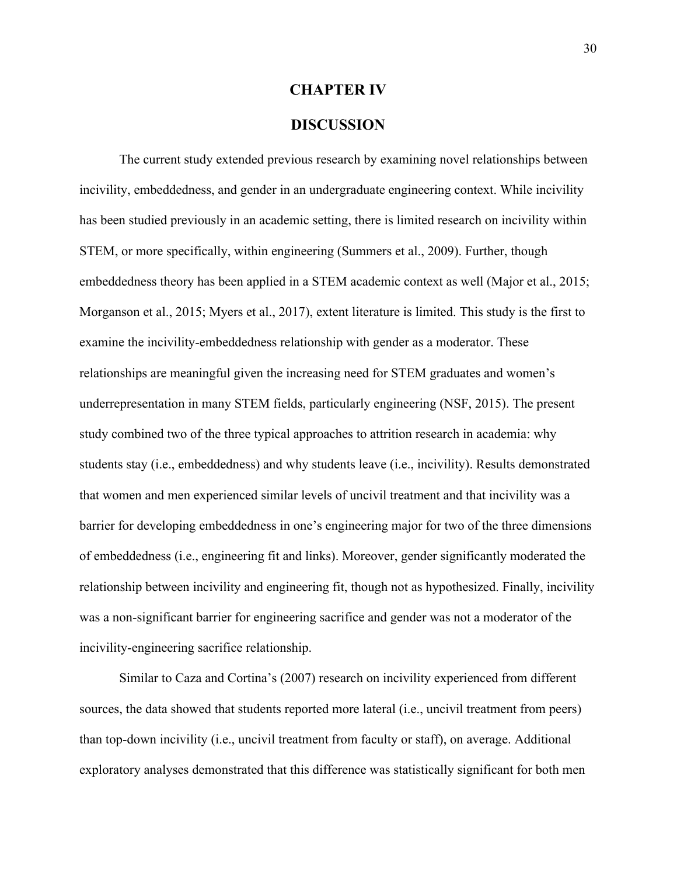#### **CHAPTER IV**

### **DISCUSSION**

The current study extended previous research by examining novel relationships between incivility, embeddedness, and gender in an undergraduate engineering context. While incivility has been studied previously in an academic setting, there is limited research on incivility within STEM, or more specifically, within engineering (Summers et al., 2009). Further, though embeddedness theory has been applied in a STEM academic context as well (Major et al., 2015; Morganson et al., 2015; Myers et al., 2017), extent literature is limited. This study is the first to examine the incivility-embeddedness relationship with gender as a moderator. These relationships are meaningful given the increasing need for STEM graduates and women's underrepresentation in many STEM fields, particularly engineering (NSF, 2015). The present study combined two of the three typical approaches to attrition research in academia: why students stay (i.e., embeddedness) and why students leave (i.e., incivility). Results demonstrated that women and men experienced similar levels of uncivil treatment and that incivility was a barrier for developing embeddedness in one's engineering major for two of the three dimensions of embeddedness (i.e., engineering fit and links). Moreover, gender significantly moderated the relationship between incivility and engineering fit, though not as hypothesized. Finally, incivility was a non-significant barrier for engineering sacrifice and gender was not a moderator of the incivility-engineering sacrifice relationship.

Similar to Caza and Cortina's (2007) research on incivility experienced from different sources, the data showed that students reported more lateral (i.e., uncivil treatment from peers) than top-down incivility (i.e., uncivil treatment from faculty or staff), on average. Additional exploratory analyses demonstrated that this difference was statistically significant for both men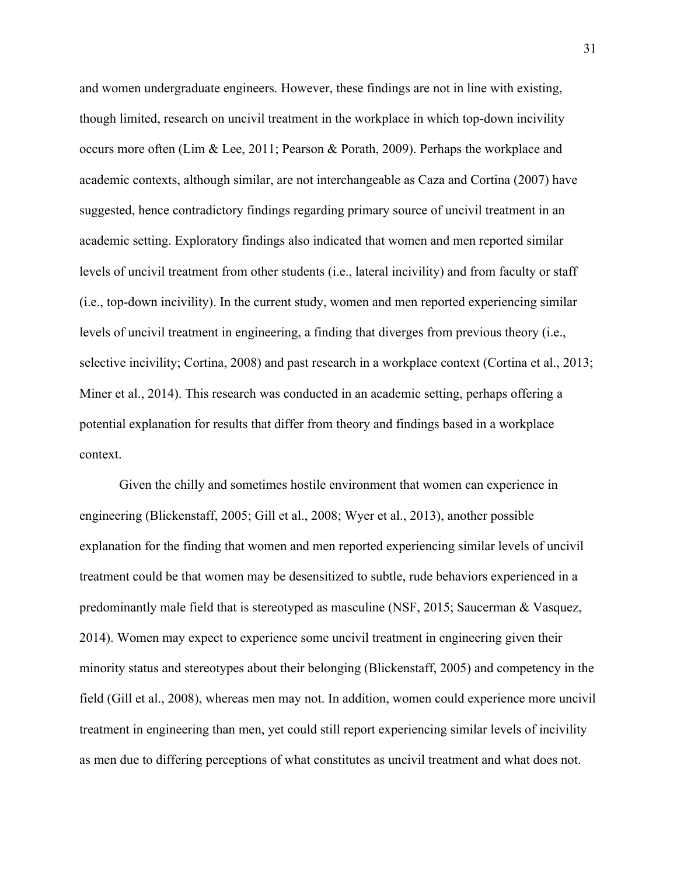and women undergraduate engineers. However, these findings are not in line with existing, though limited, research on uncivil treatment in the workplace in which top-down incivility occurs more often (Lim & Lee, 2011; Pearson & Porath, 2009). Perhaps the workplace and academic contexts, although similar, are not interchangeable as Caza and Cortina (2007) have suggested, hence contradictory findings regarding primary source of uncivil treatment in an academic setting. Exploratory findings also indicated that women and men reported similar levels of uncivil treatment from other students (i.e., lateral incivility) and from faculty or staff (i.e., top-down incivility). In the current study, women and men reported experiencing similar levels of uncivil treatment in engineering, a finding that diverges from previous theory (i.e., selective incivility; Cortina, 2008) and past research in a workplace context (Cortina et al., 2013; Miner et al., 2014). This research was conducted in an academic setting, perhaps offering a potential explanation for results that differ from theory and findings based in a workplace context.

Given the chilly and sometimes hostile environment that women can experience in engineering (Blickenstaff, 2005; Gill et al., 2008; Wyer et al., 2013), another possible explanation for the finding that women and men reported experiencing similar levels of uncivil treatment could be that women may be desensitized to subtle, rude behaviors experienced in a predominantly male field that is stereotyped as masculine (NSF, 2015; Saucerman & Vasquez, 2014). Women may expect to experience some uncivil treatment in engineering given their minority status and stereotypes about their belonging (Blickenstaff, 2005) and competency in the field (Gill et al., 2008), whereas men may not. In addition, women could experience more uncivil treatment in engineering than men, yet could still report experiencing similar levels of incivility as men due to differing perceptions of what constitutes as uncivil treatment and what does not.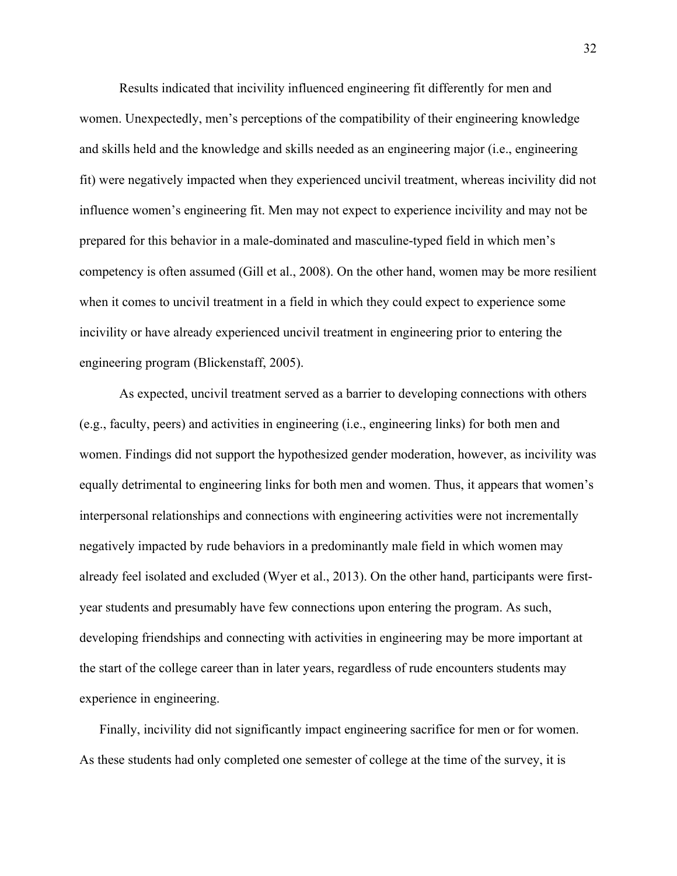Results indicated that incivility influenced engineering fit differently for men and women. Unexpectedly, men's perceptions of the compatibility of their engineering knowledge and skills held and the knowledge and skills needed as an engineering major (i.e., engineering fit) were negatively impacted when they experienced uncivil treatment, whereas incivility did not influence women's engineering fit. Men may not expect to experience incivility and may not be prepared for this behavior in a male-dominated and masculine-typed field in which men's competency is often assumed (Gill et al., 2008). On the other hand, women may be more resilient when it comes to uncivil treatment in a field in which they could expect to experience some incivility or have already experienced uncivil treatment in engineering prior to entering the engineering program (Blickenstaff, 2005).

As expected, uncivil treatment served as a barrier to developing connections with others (e.g., faculty, peers) and activities in engineering (i.e., engineering links) for both men and women. Findings did not support the hypothesized gender moderation, however, as incivility was equally detrimental to engineering links for both men and women. Thus, it appears that women's interpersonal relationships and connections with engineering activities were not incrementally negatively impacted by rude behaviors in a predominantly male field in which women may already feel isolated and excluded (Wyer et al., 2013). On the other hand, participants were firstyear students and presumably have few connections upon entering the program. As such, developing friendships and connecting with activities in engineering may be more important at the start of the college career than in later years, regardless of rude encounters students may experience in engineering.

Finally, incivility did not significantly impact engineering sacrifice for men or for women. As these students had only completed one semester of college at the time of the survey, it is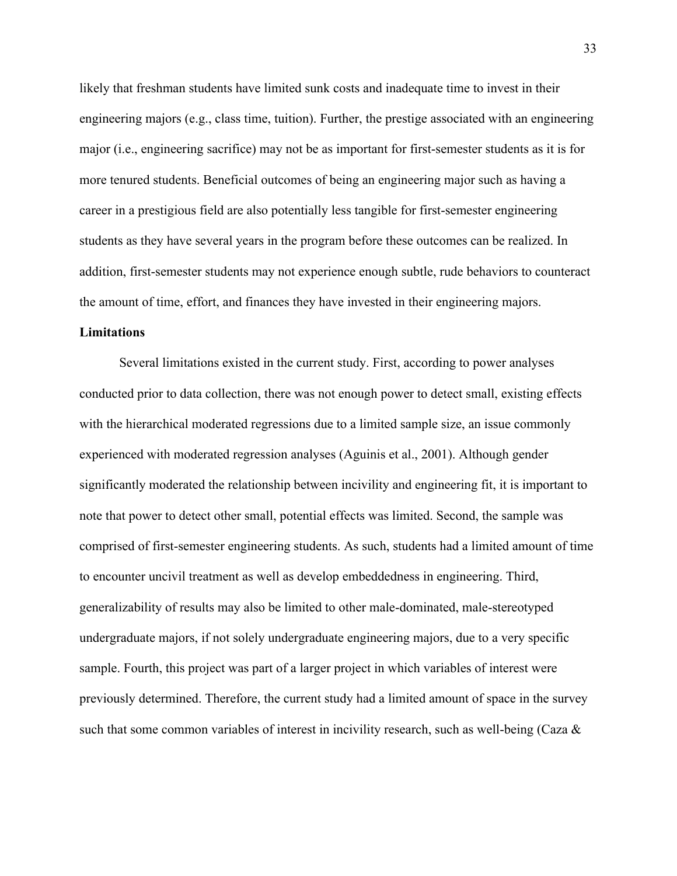likely that freshman students have limited sunk costs and inadequate time to invest in their engineering majors (e.g., class time, tuition). Further, the prestige associated with an engineering major (i.e., engineering sacrifice) may not be as important for first-semester students as it is for more tenured students. Beneficial outcomes of being an engineering major such as having a career in a prestigious field are also potentially less tangible for first-semester engineering students as they have several years in the program before these outcomes can be realized. In addition, first-semester students may not experience enough subtle, rude behaviors to counteract the amount of time, effort, and finances they have invested in their engineering majors.

#### **Limitations**

Several limitations existed in the current study. First, according to power analyses conducted prior to data collection, there was not enough power to detect small, existing effects with the hierarchical moderated regressions due to a limited sample size, an issue commonly experienced with moderated regression analyses (Aguinis et al., 2001). Although gender significantly moderated the relationship between incivility and engineering fit, it is important to note that power to detect other small, potential effects was limited. Second, the sample was comprised of first-semester engineering students. As such, students had a limited amount of time to encounter uncivil treatment as well as develop embeddedness in engineering. Third, generalizability of results may also be limited to other male-dominated, male-stereotyped undergraduate majors, if not solely undergraduate engineering majors, due to a very specific sample. Fourth, this project was part of a larger project in which variables of interest were previously determined. Therefore, the current study had a limited amount of space in the survey such that some common variables of interest in incivility research, such as well-being (Caza &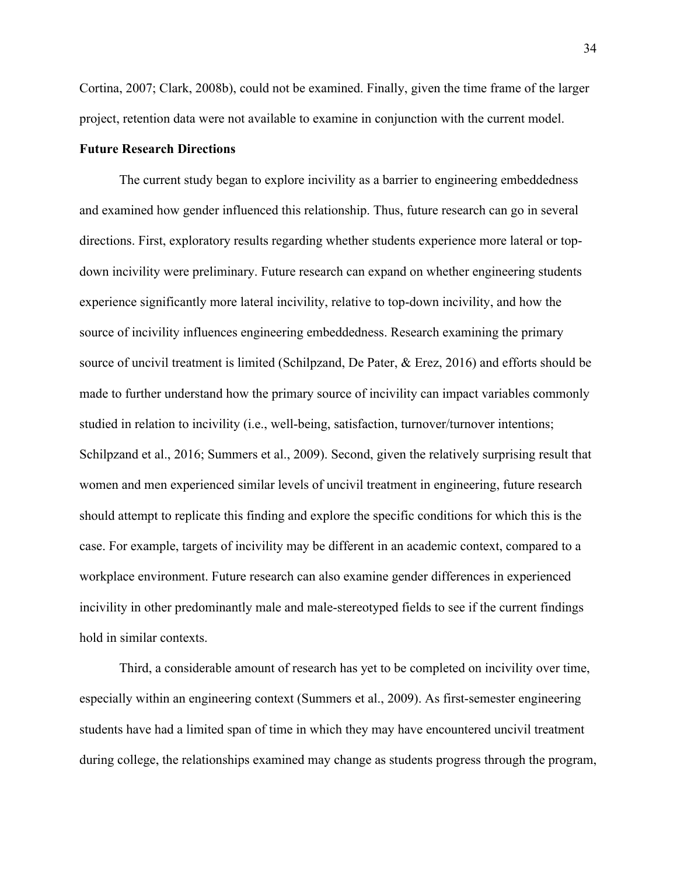Cortina, 2007; Clark, 2008b), could not be examined. Finally, given the time frame of the larger project, retention data were not available to examine in conjunction with the current model.

#### **Future Research Directions**

The current study began to explore incivility as a barrier to engineering embeddedness and examined how gender influenced this relationship. Thus, future research can go in several directions. First, exploratory results regarding whether students experience more lateral or topdown incivility were preliminary. Future research can expand on whether engineering students experience significantly more lateral incivility, relative to top-down incivility, and how the source of incivility influences engineering embeddedness. Research examining the primary source of uncivil treatment is limited (Schilpzand, De Pater, & Erez, 2016) and efforts should be made to further understand how the primary source of incivility can impact variables commonly studied in relation to incivility (i.e., well-being, satisfaction, turnover/turnover intentions; Schilpzand et al., 2016; Summers et al., 2009). Second, given the relatively surprising result that women and men experienced similar levels of uncivil treatment in engineering, future research should attempt to replicate this finding and explore the specific conditions for which this is the case. For example, targets of incivility may be different in an academic context, compared to a workplace environment. Future research can also examine gender differences in experienced incivility in other predominantly male and male-stereotyped fields to see if the current findings hold in similar contexts.

Third, a considerable amount of research has yet to be completed on incivility over time, especially within an engineering context (Summers et al., 2009). As first-semester engineering students have had a limited span of time in which they may have encountered uncivil treatment during college, the relationships examined may change as students progress through the program,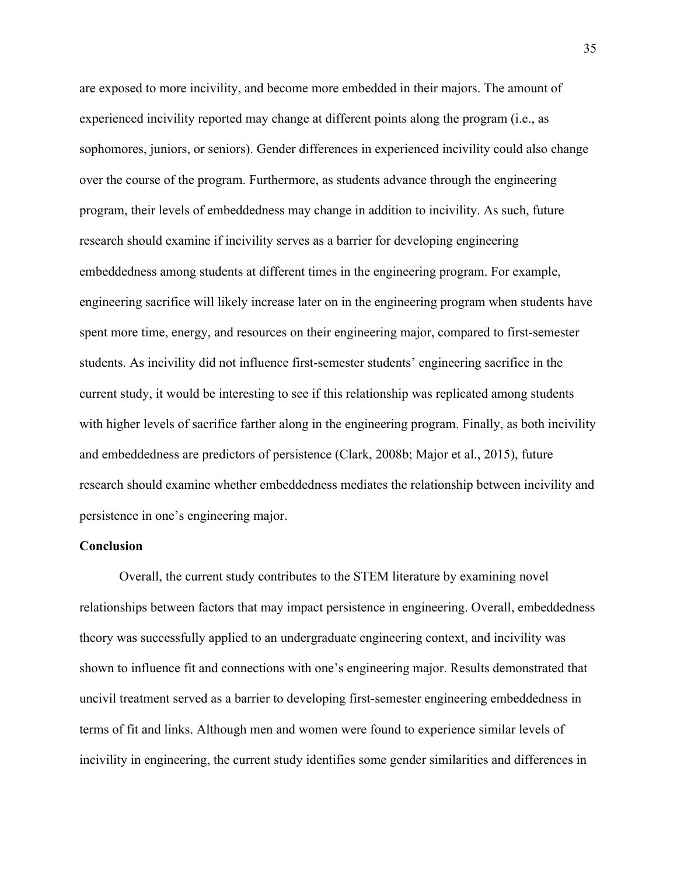are exposed to more incivility, and become more embedded in their majors. The amount of experienced incivility reported may change at different points along the program (i.e., as sophomores, juniors, or seniors). Gender differences in experienced incivility could also change over the course of the program. Furthermore, as students advance through the engineering program, their levels of embeddedness may change in addition to incivility. As such, future research should examine if incivility serves as a barrier for developing engineering embeddedness among students at different times in the engineering program. For example, engineering sacrifice will likely increase later on in the engineering program when students have spent more time, energy, and resources on their engineering major, compared to first-semester students. As incivility did not influence first-semester students' engineering sacrifice in the current study, it would be interesting to see if this relationship was replicated among students with higher levels of sacrifice farther along in the engineering program. Finally, as both incivility and embeddedness are predictors of persistence (Clark, 2008b; Major et al., 2015), future research should examine whether embeddedness mediates the relationship between incivility and persistence in one's engineering major.

#### **Conclusion**

Overall, the current study contributes to the STEM literature by examining novel relationships between factors that may impact persistence in engineering. Overall, embeddedness theory was successfully applied to an undergraduate engineering context, and incivility was shown to influence fit and connections with one's engineering major. Results demonstrated that uncivil treatment served as a barrier to developing first-semester engineering embeddedness in terms of fit and links. Although men and women were found to experience similar levels of incivility in engineering, the current study identifies some gender similarities and differences in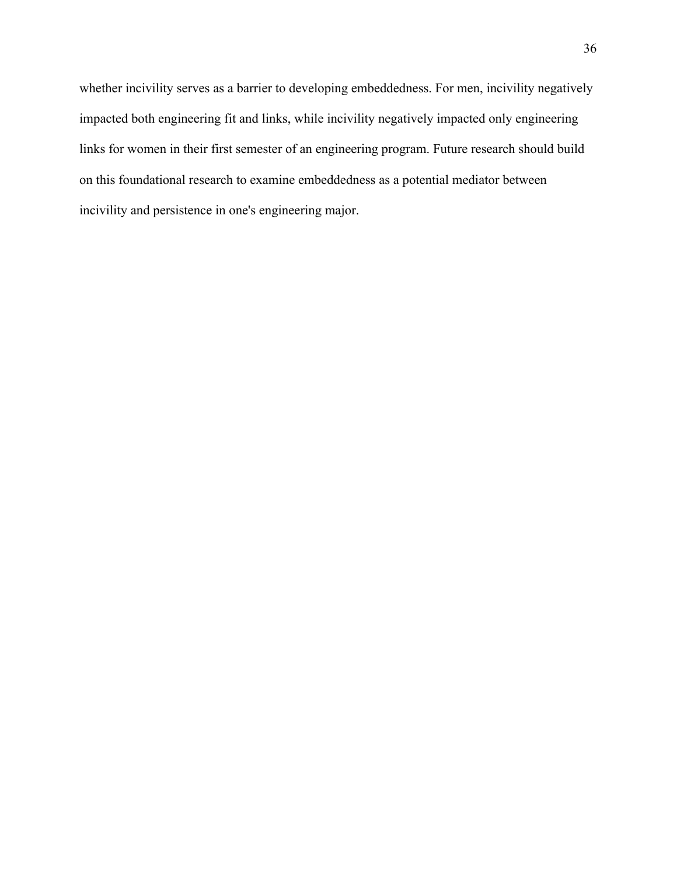whether incivility serves as a barrier to developing embeddedness. For men, incivility negatively impacted both engineering fit and links, while incivility negatively impacted only engineering links for women in their first semester of an engineering program. Future research should build on this foundational research to examine embeddedness as a potential mediator between incivility and persistence in one's engineering major.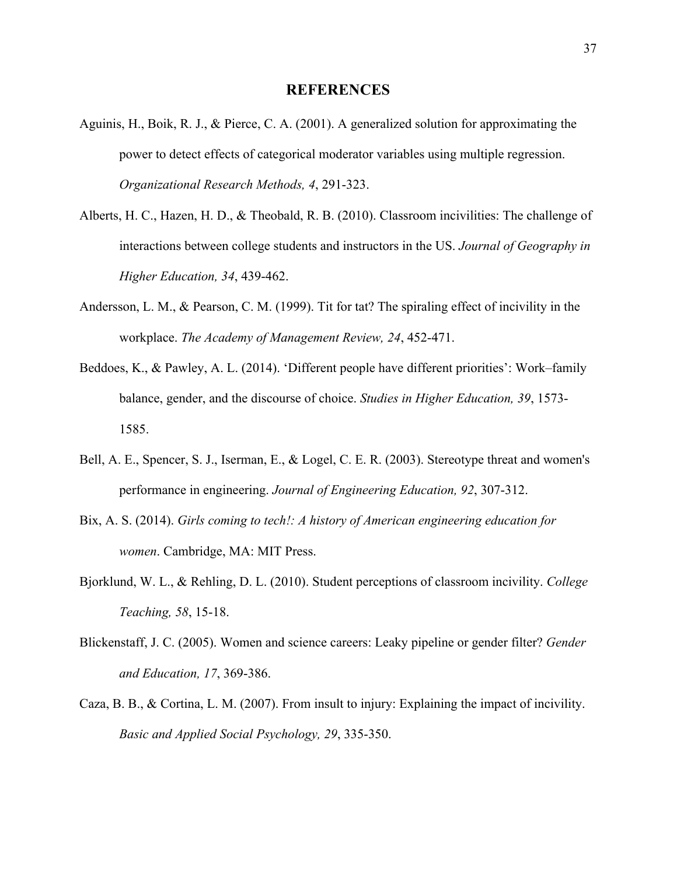#### **REFERENCES**

- Aguinis, H., Boik, R. J., & Pierce, C. A. (2001). A generalized solution for approximating the power to detect effects of categorical moderator variables using multiple regression. *Organizational Research Methods, 4*, 291-323.
- Alberts, H. C., Hazen, H. D., & Theobald, R. B. (2010). Classroom incivilities: The challenge of interactions between college students and instructors in the US. *Journal of Geography in Higher Education, 34*, 439-462.
- Andersson, L. M., & Pearson, C. M. (1999). Tit for tat? The spiraling effect of incivility in the workplace. *The Academy of Management Review, 24*, 452-471.
- Beddoes, K., & Pawley, A. L. (2014). 'Different people have different priorities': Work–family balance, gender, and the discourse of choice. *Studies in Higher Education, 39*, 1573- 1585.
- Bell, A. E., Spencer, S. J., Iserman, E., & Logel, C. E. R. (2003). Stereotype threat and women's performance in engineering. *Journal of Engineering Education, 92*, 307-312.
- Bix, A. S. (2014). *Girls coming to tech!: A history of American engineering education for women*. Cambridge, MA: MIT Press.
- Bjorklund, W. L., & Rehling, D. L. (2010). Student perceptions of classroom incivility. *College Teaching, 58*, 15-18.
- Blickenstaff, J. C. (2005). Women and science careers: Leaky pipeline or gender filter? *Gender and Education, 17*, 369-386.
- Caza, B. B., & Cortina, L. M. (2007). From insult to injury: Explaining the impact of incivility. *Basic and Applied Social Psychology, 29*, 335-350.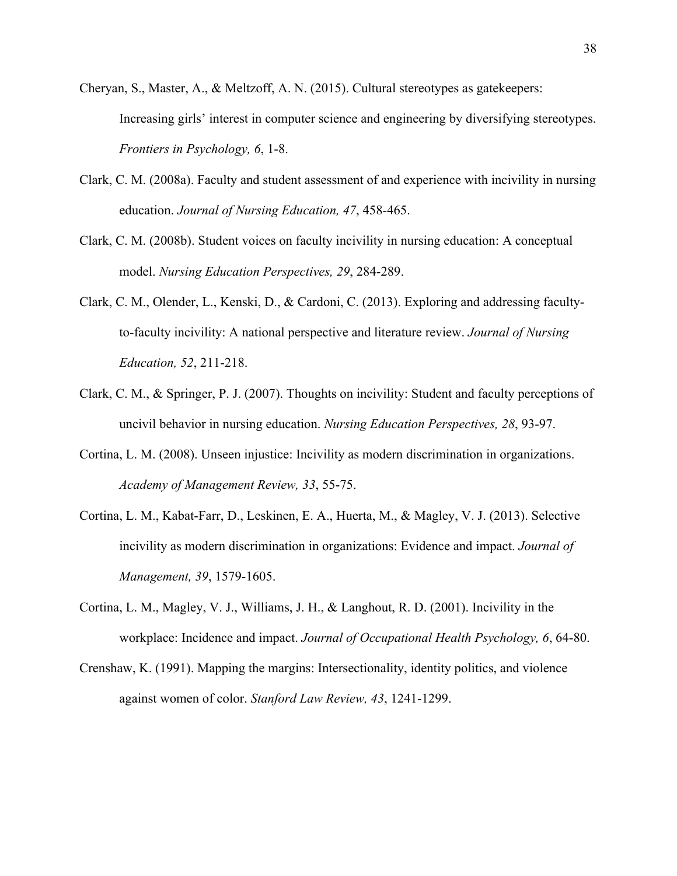- Cheryan, S., Master, A., & Meltzoff, A. N. (2015). Cultural stereotypes as gatekeepers: Increasing girls' interest in computer science and engineering by diversifying stereotypes. *Frontiers in Psychology, 6*, 1-8.
- Clark, C. M. (2008a). Faculty and student assessment of and experience with incivility in nursing education. *Journal of Nursing Education, 47*, 458-465.
- Clark, C. M. (2008b). Student voices on faculty incivility in nursing education: A conceptual model. *Nursing Education Perspectives, 29*, 284-289.
- Clark, C. M., Olender, L., Kenski, D., & Cardoni, C. (2013). Exploring and addressing facultyto-faculty incivility: A national perspective and literature review. *Journal of Nursing Education, 52*, 211-218.
- Clark, C. M., & Springer, P. J. (2007). Thoughts on incivility: Student and faculty perceptions of uncivil behavior in nursing education. *Nursing Education Perspectives, 28*, 93-97.
- Cortina, L. M. (2008). Unseen injustice: Incivility as modern discrimination in organizations. *Academy of Management Review, 33*, 55-75.
- Cortina, L. M., Kabat-Farr, D., Leskinen, E. A., Huerta, M., & Magley, V. J. (2013). Selective incivility as modern discrimination in organizations: Evidence and impact. *Journal of Management, 39*, 1579-1605.
- Cortina, L. M., Magley, V. J., Williams, J. H., & Langhout, R. D. (2001). Incivility in the workplace: Incidence and impact. *Journal of Occupational Health Psychology, 6*, 64-80.
- Crenshaw, K. (1991). Mapping the margins: Intersectionality, identity politics, and violence against women of color. *Stanford Law Review, 43*, 1241-1299.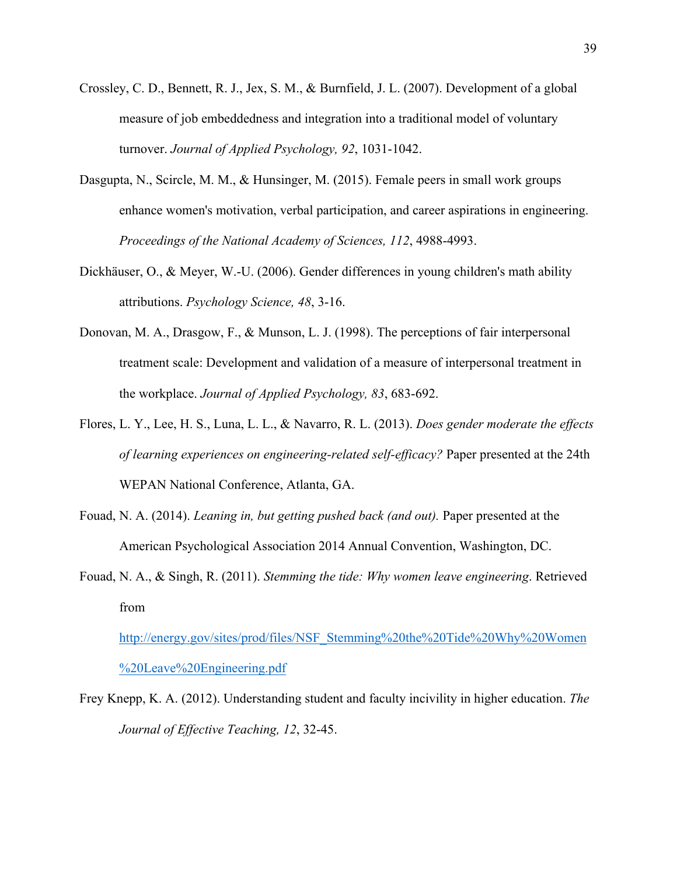- Crossley, C. D., Bennett, R. J., Jex, S. M., & Burnfield, J. L. (2007). Development of a global measure of job embeddedness and integration into a traditional model of voluntary turnover. *Journal of Applied Psychology, 92*, 1031-1042.
- Dasgupta, N., Scircle, M. M., & Hunsinger, M. (2015). Female peers in small work groups enhance women's motivation, verbal participation, and career aspirations in engineering. *Proceedings of the National Academy of Sciences, 112*, 4988-4993.
- Dickhäuser, O., & Meyer, W.-U. (2006). Gender differences in young children's math ability attributions. *Psychology Science, 48*, 3-16.
- Donovan, M. A., Drasgow, F., & Munson, L. J. (1998). The perceptions of fair interpersonal treatment scale: Development and validation of a measure of interpersonal treatment in the workplace. *Journal of Applied Psychology, 83*, 683-692.
- Flores, L. Y., Lee, H. S., Luna, L. L., & Navarro, R. L. (2013). *Does gender moderate the effects of learning experiences on engineering-related self-efficacy?* Paper presented at the 24th WEPAN National Conference, Atlanta, GA.
- Fouad, N. A. (2014). *Leaning in, but getting pushed back (and out).* Paper presented at the American Psychological Association 2014 Annual Convention, Washington, DC.
- Fouad, N. A., & Singh, R. (2011). *Stemming the tide: Why women leave engineering*. Retrieved from

http://energy.gov/sites/prod/files/NSF\_Stemming%20the%20Tide%20Why%20Women %20Leave%20Engineering.pdf

Frey Knepp, K. A. (2012). Understanding student and faculty incivility in higher education. *The Journal of Effective Teaching, 12*, 32-45.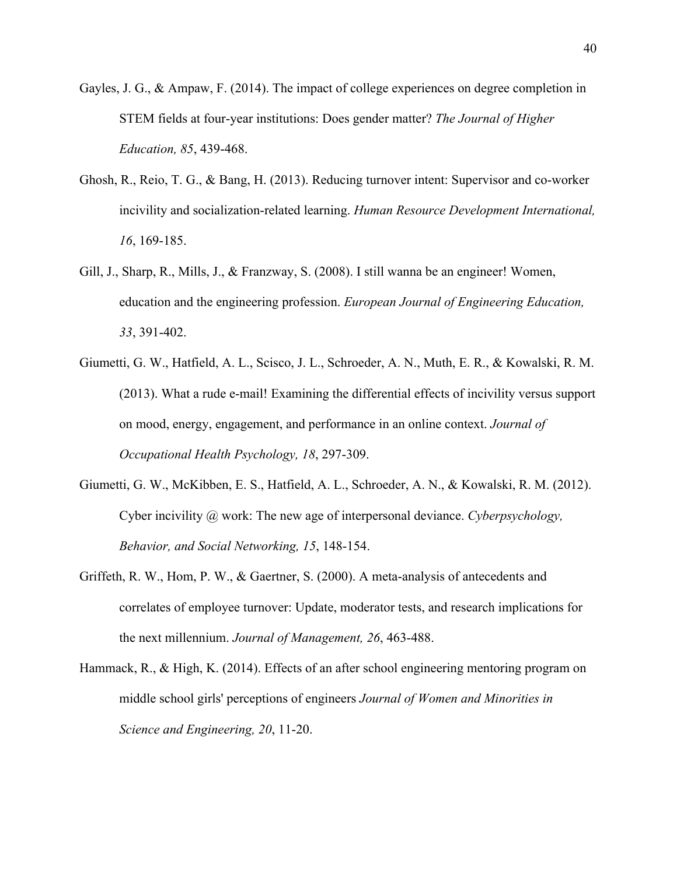- Gayles, J. G., & Ampaw, F. (2014). The impact of college experiences on degree completion in STEM fields at four-year institutions: Does gender matter? *The Journal of Higher Education, 85*, 439-468.
- Ghosh, R., Reio, T. G., & Bang, H. (2013). Reducing turnover intent: Supervisor and co-worker incivility and socialization-related learning. *Human Resource Development International, 16*, 169-185.
- Gill, J., Sharp, R., Mills, J., & Franzway, S. (2008). I still wanna be an engineer! Women, education and the engineering profession. *European Journal of Engineering Education, 33*, 391-402.
- Giumetti, G. W., Hatfield, A. L., Scisco, J. L., Schroeder, A. N., Muth, E. R., & Kowalski, R. M. (2013). What a rude e-mail! Examining the differential effects of incivility versus support on mood, energy, engagement, and performance in an online context. *Journal of Occupational Health Psychology, 18*, 297-309.
- Giumetti, G. W., McKibben, E. S., Hatfield, A. L., Schroeder, A. N., & Kowalski, R. M. (2012). Cyber incivility @ work: The new age of interpersonal deviance. *Cyberpsychology, Behavior, and Social Networking, 15*, 148-154.
- Griffeth, R. W., Hom, P. W., & Gaertner, S. (2000). A meta-analysis of antecedents and correlates of employee turnover: Update, moderator tests, and research implications for the next millennium. *Journal of Management, 26*, 463-488.
- Hammack, R., & High, K. (2014). Effects of an after school engineering mentoring program on middle school girls' perceptions of engineers *Journal of Women and Minorities in Science and Engineering, 20*, 11-20.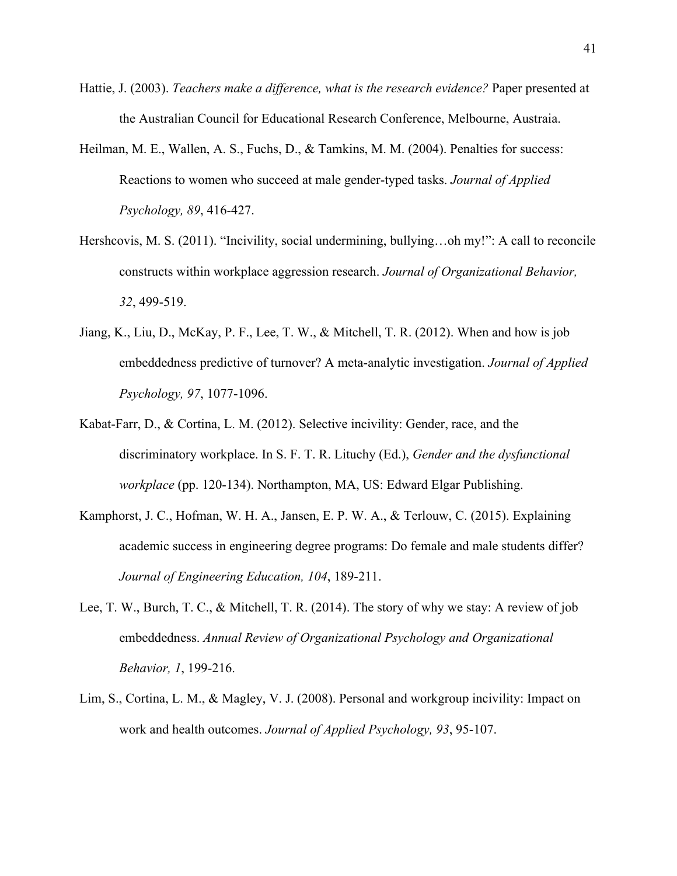- Hattie, J. (2003). *Teachers make a difference, what is the research evidence?* Paper presented at the Australian Council for Educational Research Conference, Melbourne, Austraia.
- Heilman, M. E., Wallen, A. S., Fuchs, D., & Tamkins, M. M. (2004). Penalties for success: Reactions to women who succeed at male gender-typed tasks. *Journal of Applied Psychology, 89*, 416-427.
- Hershcovis, M. S. (2011). "Incivility, social undermining, bullying...oh my!": A call to reconcile constructs within workplace aggression research. *Journal of Organizational Behavior, 32*, 499-519.
- Jiang, K., Liu, D., McKay, P. F., Lee, T. W., & Mitchell, T. R. (2012). When and how is job embeddedness predictive of turnover? A meta-analytic investigation. *Journal of Applied Psychology, 97*, 1077-1096.
- Kabat-Farr, D., & Cortina, L. M. (2012). Selective incivility: Gender, race, and the discriminatory workplace. In S. F. T. R. Lituchy (Ed.), *Gender and the dysfunctional workplace* (pp. 120-134). Northampton, MA, US: Edward Elgar Publishing.
- Kamphorst, J. C., Hofman, W. H. A., Jansen, E. P. W. A., & Terlouw, C. (2015). Explaining academic success in engineering degree programs: Do female and male students differ? *Journal of Engineering Education, 104*, 189-211.
- Lee, T. W., Burch, T. C., & Mitchell, T. R. (2014). The story of why we stay: A review of job embeddedness. *Annual Review of Organizational Psychology and Organizational Behavior, 1*, 199-216.
- Lim, S., Cortina, L. M., & Magley, V. J. (2008). Personal and workgroup incivility: Impact on work and health outcomes. *Journal of Applied Psychology, 93*, 95-107.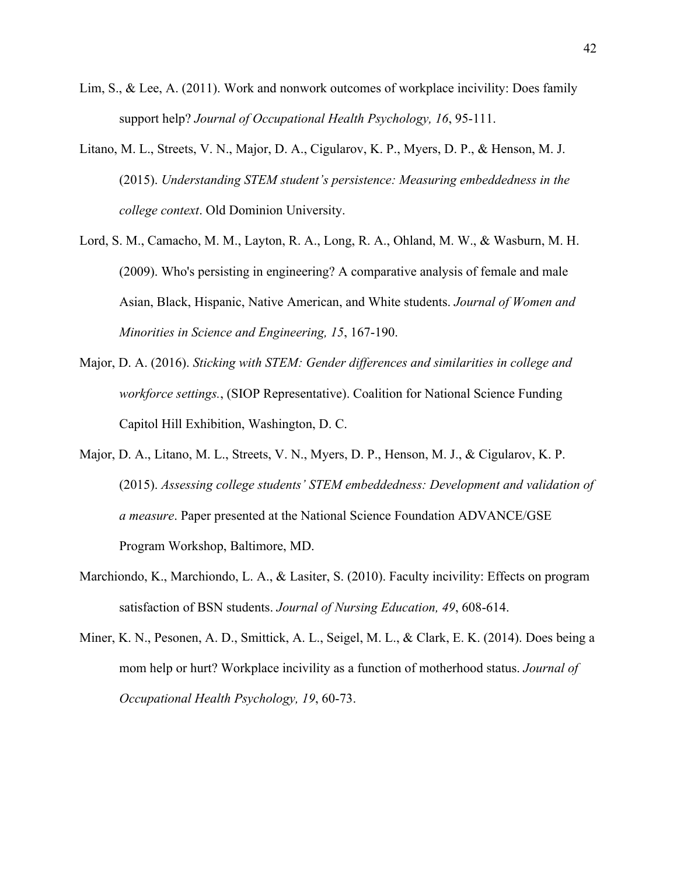- Lim, S., & Lee, A. (2011). Work and nonwork outcomes of workplace incivility: Does family support help? *Journal of Occupational Health Psychology, 16*, 95-111.
- Litano, M. L., Streets, V. N., Major, D. A., Cigularov, K. P., Myers, D. P., & Henson, M. J. (2015). *Understanding STEM student's persistence: Measuring embeddedness in the college context*. Old Dominion University.
- Lord, S. M., Camacho, M. M., Layton, R. A., Long, R. A., Ohland, M. W., & Wasburn, M. H. (2009). Who's persisting in engineering? A comparative analysis of female and male Asian, Black, Hispanic, Native American, and White students. *Journal of Women and Minorities in Science and Engineering, 15*, 167-190.
- Major, D. A. (2016). *Sticking with STEM: Gender differences and similarities in college and workforce settings.*, (SIOP Representative). Coalition for National Science Funding Capitol Hill Exhibition, Washington, D. C.
- Major, D. A., Litano, M. L., Streets, V. N., Myers, D. P., Henson, M. J., & Cigularov, K. P. (2015). *Assessing college students' STEM embeddedness: Development and validation of a measure*. Paper presented at the National Science Foundation ADVANCE/GSE Program Workshop, Baltimore, MD.
- Marchiondo, K., Marchiondo, L. A., & Lasiter, S. (2010). Faculty incivility: Effects on program satisfaction of BSN students. *Journal of Nursing Education, 49*, 608-614.
- Miner, K. N., Pesonen, A. D., Smittick, A. L., Seigel, M. L., & Clark, E. K. (2014). Does being a mom help or hurt? Workplace incivility as a function of motherhood status. *Journal of Occupational Health Psychology, 19*, 60-73.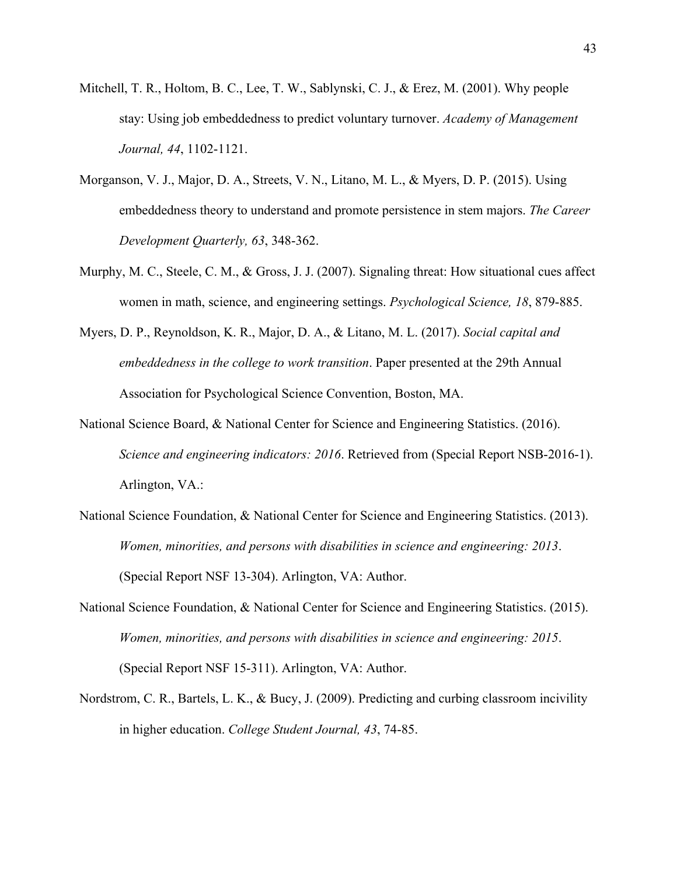- Mitchell, T. R., Holtom, B. C., Lee, T. W., Sablynski, C. J., & Erez, M. (2001). Why people stay: Using job embeddedness to predict voluntary turnover. *Academy of Management Journal, 44*, 1102-1121.
- Morganson, V. J., Major, D. A., Streets, V. N., Litano, M. L., & Myers, D. P. (2015). Using embeddedness theory to understand and promote persistence in stem majors. *The Career Development Quarterly, 63*, 348-362.
- Murphy, M. C., Steele, C. M., & Gross, J. J. (2007). Signaling threat: How situational cues affect women in math, science, and engineering settings. *Psychological Science, 18*, 879-885.
- Myers, D. P., Reynoldson, K. R., Major, D. A., & Litano, M. L. (2017). *Social capital and embeddedness in the college to work transition*. Paper presented at the 29th Annual Association for Psychological Science Convention, Boston, MA.
- National Science Board, & National Center for Science and Engineering Statistics. (2016). *Science and engineering indicators: 2016*. Retrieved from (Special Report NSB-2016-1). Arlington, VA.:
- National Science Foundation, & National Center for Science and Engineering Statistics. (2013). *Women, minorities, and persons with disabilities in science and engineering: 2013*. (Special Report NSF 13-304). Arlington, VA: Author.
- National Science Foundation, & National Center for Science and Engineering Statistics. (2015). *Women, minorities, and persons with disabilities in science and engineering: 2015*. (Special Report NSF 15-311). Arlington, VA: Author.
- Nordstrom, C. R., Bartels, L. K., & Bucy, J. (2009). Predicting and curbing classroom incivility in higher education. *College Student Journal, 43*, 74-85.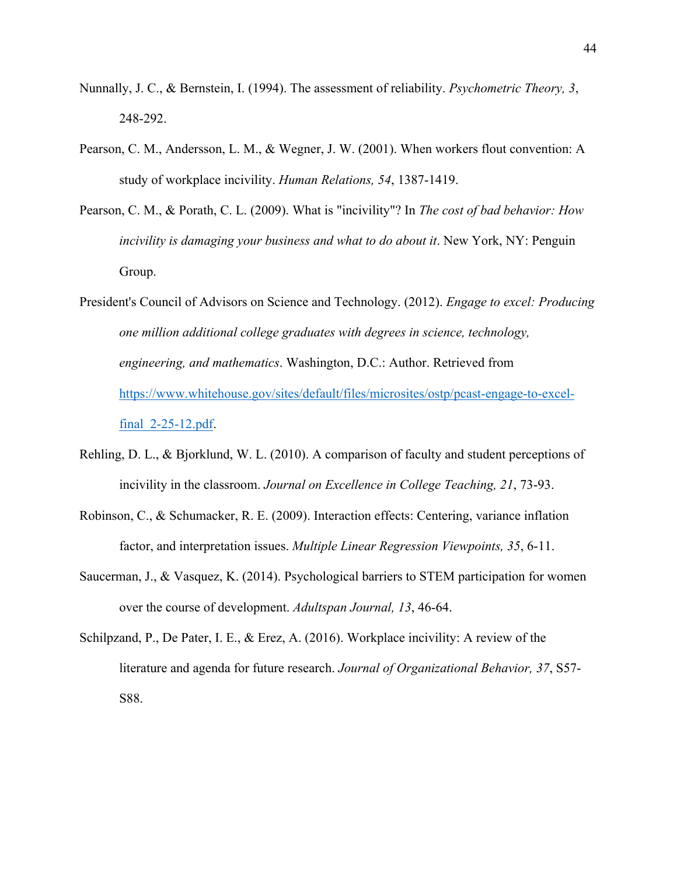- Nunnally, J. C., & Bernstein, I. (1994). The assessment of reliability. *Psychometric Theory, 3*, 248-292.
- Pearson, C. M., Andersson, L. M., & Wegner, J. W. (2001). When workers flout convention: A study of workplace incivility. *Human Relations, 54*, 1387-1419.
- Pearson, C. M., & Porath, C. L. (2009). What is "incivility"? In *The cost of bad behavior: How incivility is damaging your business and what to do about it*. New York, NY: Penguin Group.
- President's Council of Advisors on Science and Technology. (2012). *Engage to excel: Producing one million additional college graduates with degrees in science, technology, engineering, and mathematics*. Washington, D.C.: Author. Retrieved from https://www.whitehouse.gov/sites/default/files/microsites/ostp/pcast-engage-to-excelfinal\_2-25-12.pdf.
- Rehling, D. L., & Bjorklund, W. L. (2010). A comparison of faculty and student perceptions of incivility in the classroom. *Journal on Excellence in College Teaching, 21*, 73-93.
- Robinson, C., & Schumacker, R. E. (2009). Interaction effects: Centering, variance inflation factor, and interpretation issues. *Multiple Linear Regression Viewpoints, 35*, 6-11.
- Saucerman, J., & Vasquez, K. (2014). Psychological barriers to STEM participation for women over the course of development. *Adultspan Journal, 13*, 46-64.
- Schilpzand, P., De Pater, I. E., & Erez, A. (2016). Workplace incivility: A review of the literature and agenda for future research. *Journal of Organizational Behavior, 37*, S57- S88.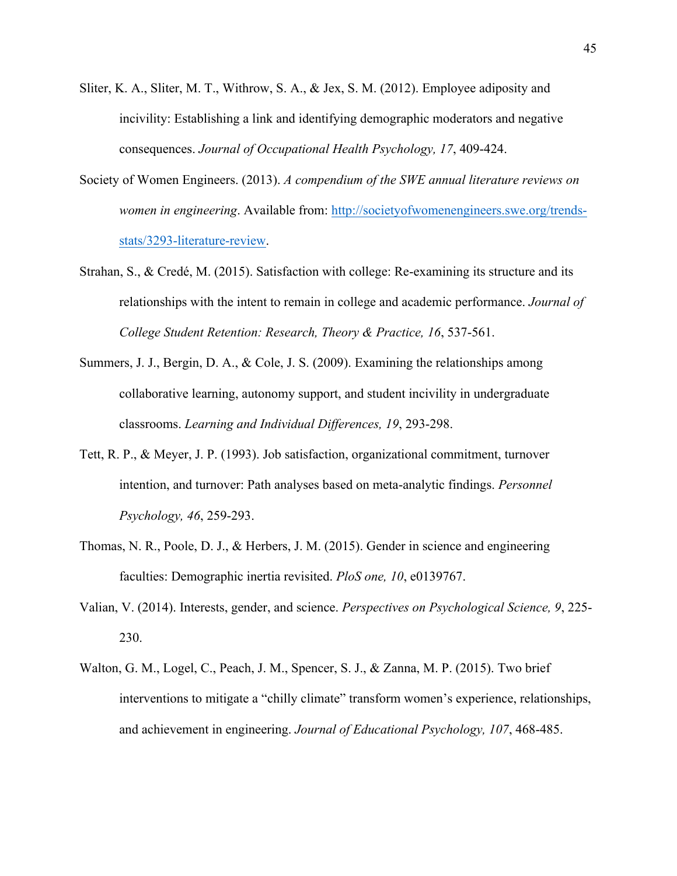- Sliter, K. A., Sliter, M. T., Withrow, S. A., & Jex, S. M. (2012). Employee adiposity and incivility: Establishing a link and identifying demographic moderators and negative consequences. *Journal of Occupational Health Psychology, 17*, 409-424.
- Society of Women Engineers. (2013). *A compendium of the SWE annual literature reviews on women in engineering*. Available from: http://societyofwomenengineers.swe.org/trendsstats/3293-literature-review.
- Strahan, S., & Credé, M. (2015). Satisfaction with college: Re-examining its structure and its relationships with the intent to remain in college and academic performance. *Journal of College Student Retention: Research, Theory & Practice, 16*, 537-561.
- Summers, J. J., Bergin, D. A., & Cole, J. S. (2009). Examining the relationships among collaborative learning, autonomy support, and student incivility in undergraduate classrooms. *Learning and Individual Differences, 19*, 293-298.
- Tett, R. P., & Meyer, J. P. (1993). Job satisfaction, organizational commitment, turnover intention, and turnover: Path analyses based on meta-analytic findings. *Personnel Psychology, 46*, 259-293.
- Thomas, N. R., Poole, D. J., & Herbers, J. M. (2015). Gender in science and engineering faculties: Demographic inertia revisited. *PloS one, 10*, e0139767.
- Valian, V. (2014). Interests, gender, and science. *Perspectives on Psychological Science, 9*, 225- 230.
- Walton, G. M., Logel, C., Peach, J. M., Spencer, S. J., & Zanna, M. P. (2015). Two brief interventions to mitigate a "chilly climate" transform women's experience, relationships, and achievement in engineering. *Journal of Educational Psychology, 107*, 468-485.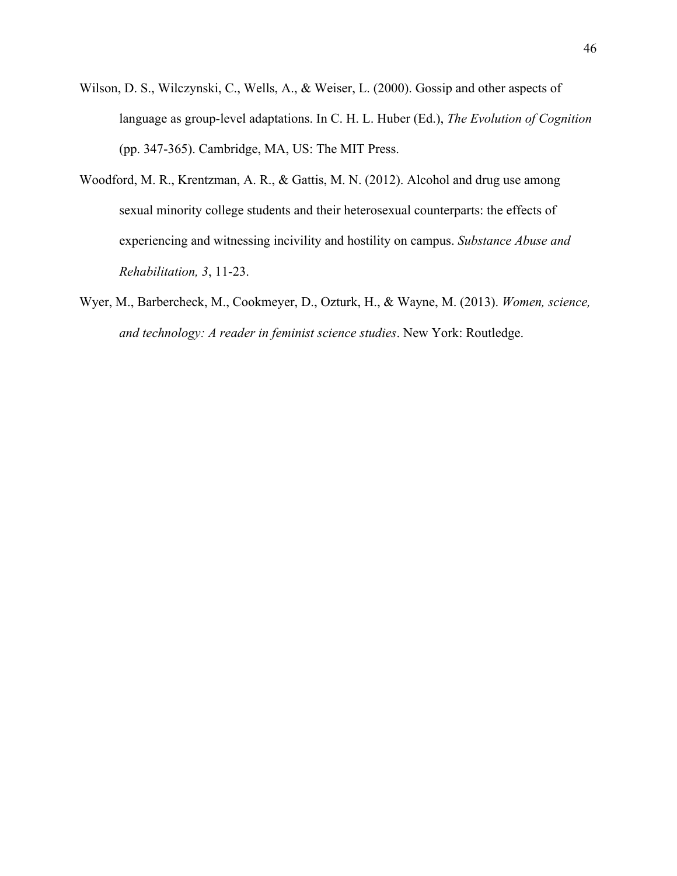- Wilson, D. S., Wilczynski, C., Wells, A., & Weiser, L. (2000). Gossip and other aspects of language as group-level adaptations. In C. H. L. Huber (Ed.), *The Evolution of Cognition* (pp. 347-365). Cambridge, MA, US: The MIT Press.
- Woodford, M. R., Krentzman, A. R., & Gattis, M. N. (2012). Alcohol and drug use among sexual minority college students and their heterosexual counterparts: the effects of experiencing and witnessing incivility and hostility on campus. *Substance Abuse and Rehabilitation, 3*, 11-23.
- Wyer, M., Barbercheck, M., Cookmeyer, D., Ozturk, H., & Wayne, M. (2013). *Women, science, and technology: A reader in feminist science studies*. New York: Routledge.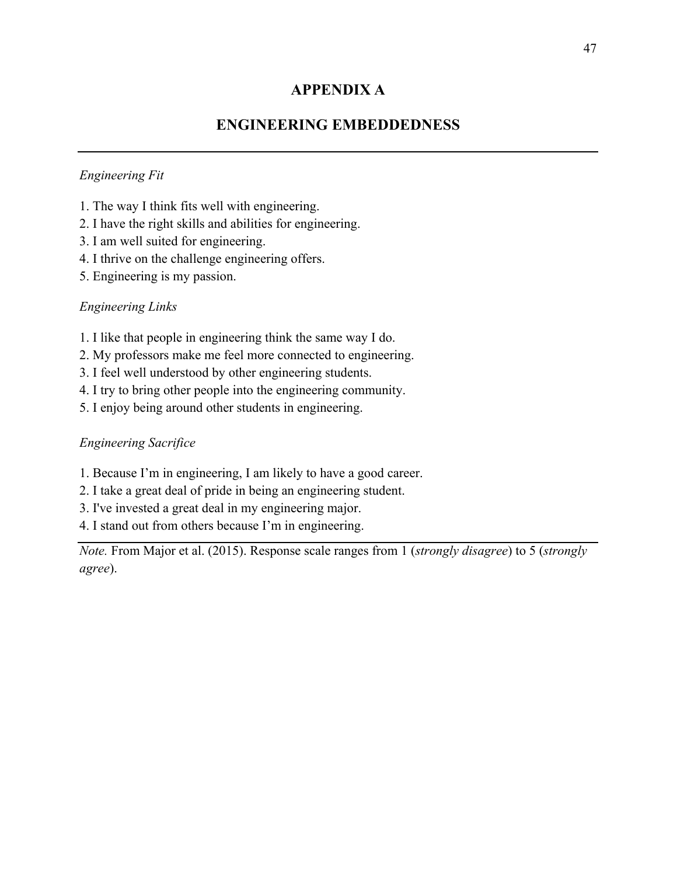# **APPENDIX A**

# **ENGINEERING EMBEDDEDNESS**

### *Engineering Fit*

- 1. The way I think fits well with engineering.
- 2. I have the right skills and abilities for engineering.
- 3. I am well suited for engineering.
- 4. I thrive on the challenge engineering offers.
- 5. Engineering is my passion.

### *Engineering Links*

- 1. I like that people in engineering think the same way I do.
- 2. My professors make me feel more connected to engineering.
- 3. I feel well understood by other engineering students.
- 4. I try to bring other people into the engineering community.
- 5. I enjoy being around other students in engineering.

### *Engineering Sacrifice*

- 1. Because I'm in engineering, I am likely to have a good career.
- 2. I take a great deal of pride in being an engineering student.
- 3. I've invested a great deal in my engineering major.
- 4. I stand out from others because I'm in engineering.

*Note.* From Major et al. (2015). Response scale ranges from 1 (*strongly disagree*) to 5 (*strongly agree*).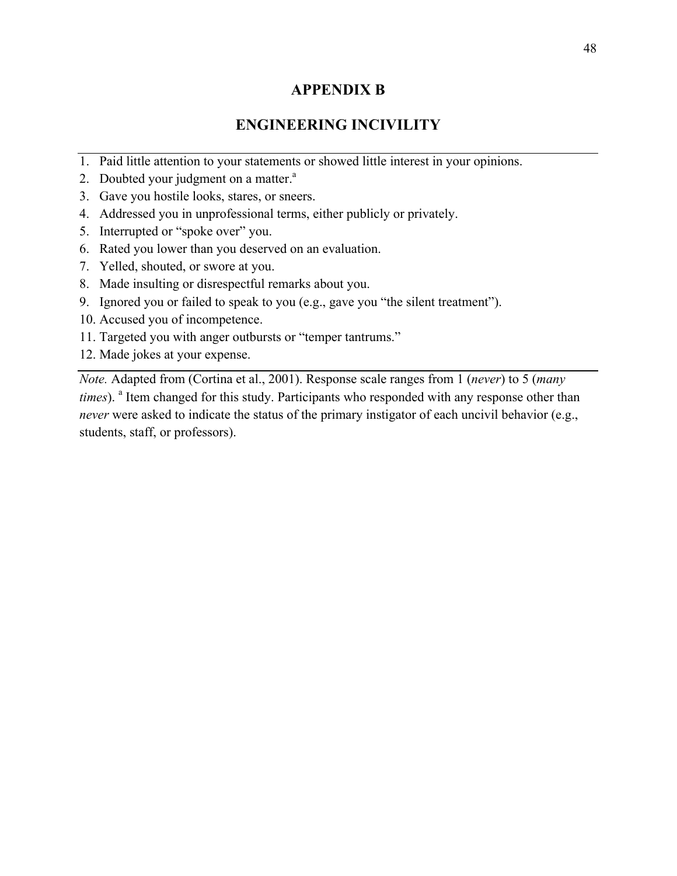# **APPENDIX B**

# **ENGINEERING INCIVILITY**

- 1. Paid little attention to your statements or showed little interest in your opinions.
- 2. Doubted your judgment on a matter.<sup>a</sup>
- 3. Gave you hostile looks, stares, or sneers.
- 4. Addressed you in unprofessional terms, either publicly or privately.
- 5. Interrupted or "spoke over" you.
- 6. Rated you lower than you deserved on an evaluation.
- 7. Yelled, shouted, or swore at you.
- 8. Made insulting or disrespectful remarks about you.
- 9. Ignored you or failed to speak to you (e.g., gave you "the silent treatment").
- 10. Accused you of incompetence.
- 11. Targeted you with anger outbursts or "temper tantrums."
- 12. Made jokes at your expense.

*Note.* Adapted from (Cortina et al., 2001). Response scale ranges from 1 (*never*) to 5 (*many times*). <sup>a</sup> Item changed for this study. Participants who responded with any response other than *never* were asked to indicate the status of the primary instigator of each uncivil behavior (e.g., students, staff, or professors).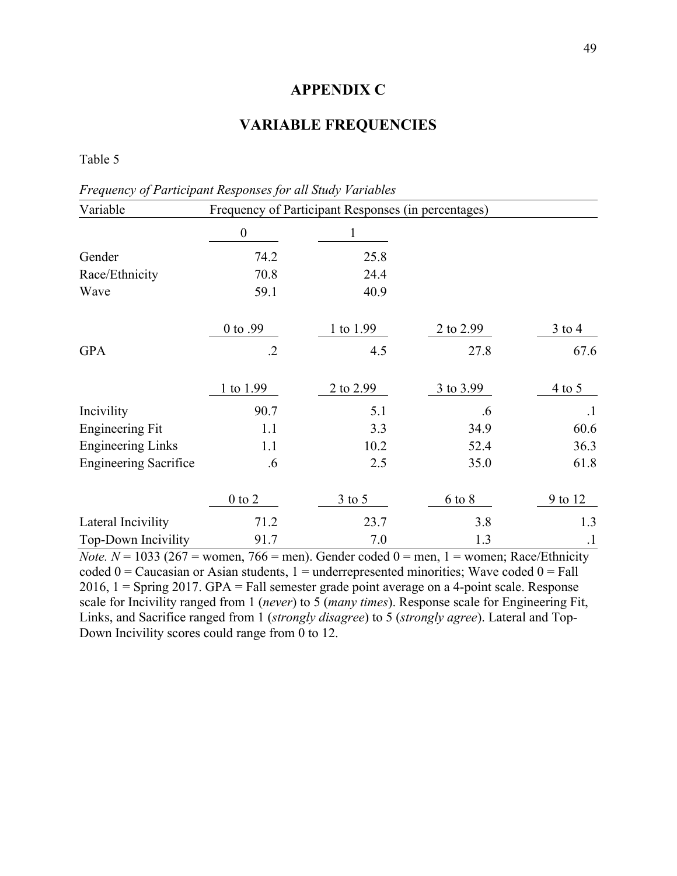## **APPENDIX C**

# **VARIABLE FREQUENCIES**

Table 5

*Frequency of Participant Responses for all Study Variables*

| Variable                     |                  | Frequency of Participant Responses (in percentages) |            |           |
|------------------------------|------------------|-----------------------------------------------------|------------|-----------|
|                              | $\boldsymbol{0}$ | I                                                   |            |           |
| Gender                       | 74.2             | 25.8                                                |            |           |
| Race/Ethnicity               | 70.8             | 24.4                                                |            |           |
| Wave                         | 59.1             | 40.9                                                |            |           |
|                              | 0 to .99         | 1 to 1.99                                           | 2 to 2.99  | $3$ to 4  |
| <b>GPA</b>                   | $\cdot$ .2       | 4.5                                                 | 27.8       | 67.6      |
|                              | 1 to 1.99        | 2 to 2.99                                           | 3 to 3.99  | $4$ to 5  |
| Incivility                   | 90.7             | 5.1                                                 | .6         | $\cdot$ 1 |
| <b>Engineering Fit</b>       | 1.1              | 3.3                                                 | 34.9       | 60.6      |
| <b>Engineering Links</b>     | 1.1              | 10.2                                                | 52.4       | 36.3      |
| <b>Engineering Sacrifice</b> | $.6\,$           | 2.5                                                 | 35.0       | 61.8      |
|                              | $0$ to $2$       | $3$ to 5                                            | $6$ to $8$ | 9 to 12   |
| Lateral Incivility           | 71.2             | 23.7                                                | 3.8        | 1.3       |
| Top-Down Incivility          | 91.7             | 7.0                                                 | 1.3        | $\cdot$   |

*Note.*  $N = 1033$  (267 = women, 766 = men). Gender coded  $0 =$  men, 1 = women; Race/Ethnicity coded  $0 =$  Caucasian or Asian students,  $1 =$  underrepresented minorities; Wave coded  $0 =$  Fall 2016, 1 = Spring 2017. GPA = Fall semester grade point average on a 4-point scale. Response scale for Incivility ranged from 1 (*never*) to 5 (*many times*). Response scale for Engineering Fit, Links, and Sacrifice ranged from 1 (*strongly disagree*) to 5 (*strongly agree*). Lateral and Top-Down Incivility scores could range from 0 to 12.